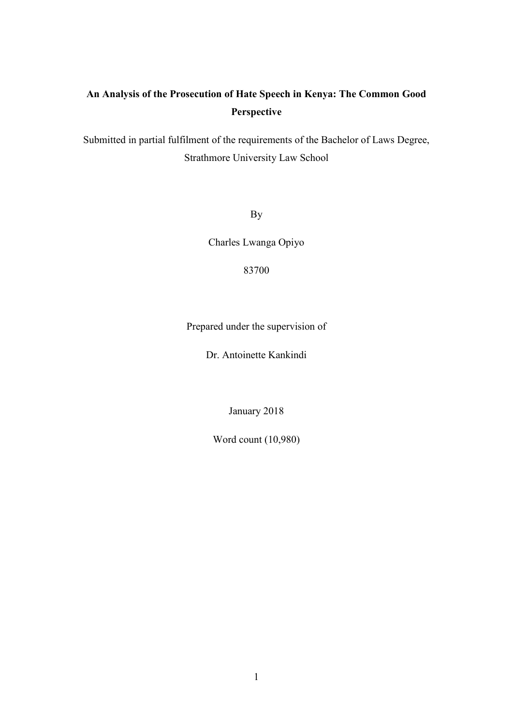# **An Analysis of the Prosecution of Hate Speech in Kenya: The Common Good Perspective**

Submitted in partial fulfilment of the requirements of the Bachelor of Laws Degree, Strathmore University Law School

By

Charles Lwanga Opiyo

83700

Prepared under the supervision of

Dr. Antoinette Kankindi

January 2018

Word count (10,980)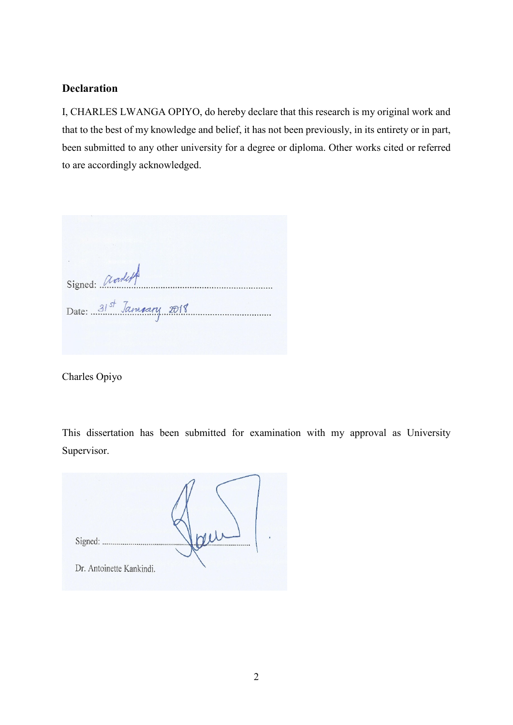# <span id="page-1-0"></span>**Declaration**

I, CHARLES LWANGA OPIYO, do hereby declare that this research is my original work and that to the best of my knowledge and belief, it has not been previously, in its entirety or in part, been submitted to any other university for a degree or diploma. Other works cited or referred to are accordingly acknowledged.

Signed: andulf Date: 31st January 2018

Charles Opiyo

This dissertation has been submitted for examination with my approval as University Supervisor.

Signed: ............. Dr. Antoinette Kankindi.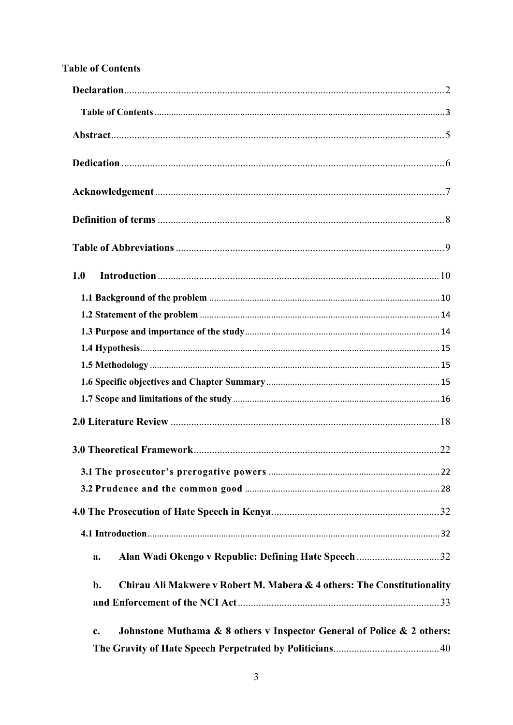# <span id="page-2-0"></span>**Table of Contents**

| 1.0                                                                           |  |
|-------------------------------------------------------------------------------|--|
|                                                                               |  |
|                                                                               |  |
|                                                                               |  |
|                                                                               |  |
|                                                                               |  |
|                                                                               |  |
|                                                                               |  |
|                                                                               |  |
|                                                                               |  |
|                                                                               |  |
|                                                                               |  |
|                                                                               |  |
|                                                                               |  |
| a.                                                                            |  |
| Chirau Ali Makwere v Robert M. Mabera & 4 others: The Constitutionality<br>b. |  |
|                                                                               |  |
| Johnstone Muthama & 8 others v Inspector General of Police & 2 others:<br>c.  |  |
|                                                                               |  |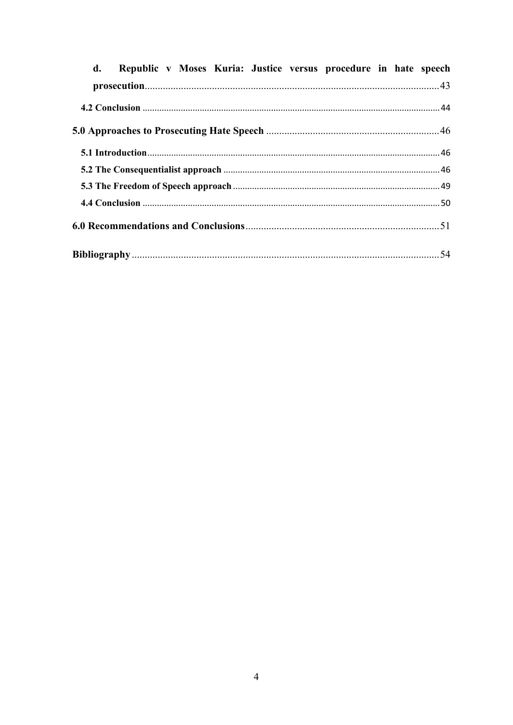| Republic v Moses Kuria: Justice versus procedure in hate speech<br>$\mathbf{d}$ . |  |
|-----------------------------------------------------------------------------------|--|
|                                                                                   |  |
|                                                                                   |  |
|                                                                                   |  |
|                                                                                   |  |
|                                                                                   |  |
|                                                                                   |  |
|                                                                                   |  |
|                                                                                   |  |
|                                                                                   |  |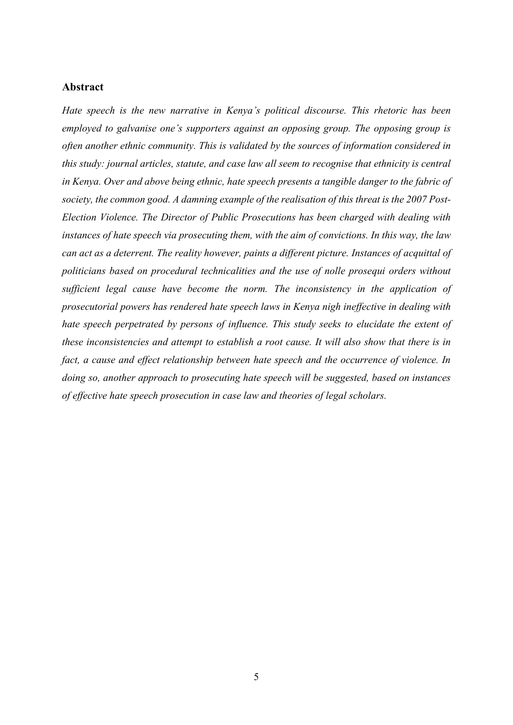### <span id="page-4-0"></span>**Abstract**

*Hate speech is the new narrative in Kenya's political discourse. This rhetoric has been employed to galvanise one's supporters against an opposing group. The opposing group is often another ethnic community. This is validated by the sources of information considered in this study: journal articles, statute, and case law all seem to recognise that ethnicity is central in Kenya. Over and above being ethnic, hate speech presents a tangible danger to the fabric of society, the common good. A damning example of the realisation of this threat is the 2007 Post-Election Violence. The Director of Public Prosecutions has been charged with dealing with instances of hate speech via prosecuting them, with the aim of convictions. In this way, the law can act as a deterrent. The reality however, paints a different picture. Instances of acquittal of politicians based on procedural technicalities and the use of nolle prosequi orders without sufficient legal cause have become the norm. The inconsistency in the application of prosecutorial powers has rendered hate speech laws in Kenya nigh ineffective in dealing with hate speech perpetrated by persons of influence. This study seeks to elucidate the extent of these inconsistencies and attempt to establish a root cause. It will also show that there is in fact, a cause and effect relationship between hate speech and the occurrence of violence. In doing so, another approach to prosecuting hate speech will be suggested, based on instances of effective hate speech prosecution in case law and theories of legal scholars.*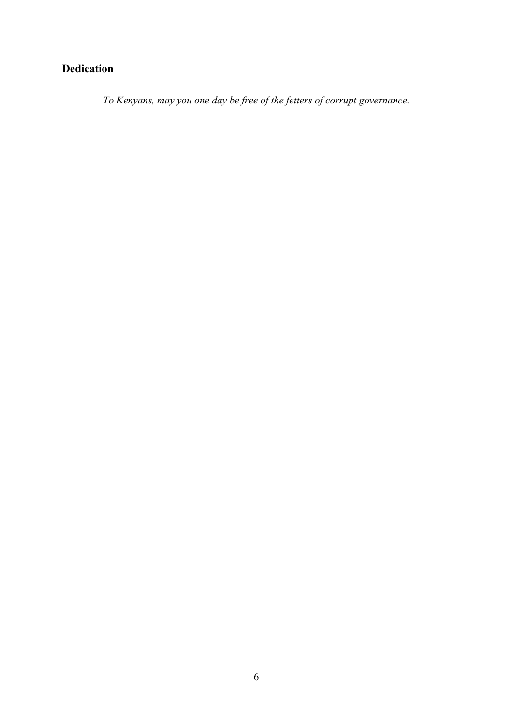# <span id="page-5-0"></span>**Dedication**

*To Kenyans, may you one day be free of the fetters of corrupt governance.*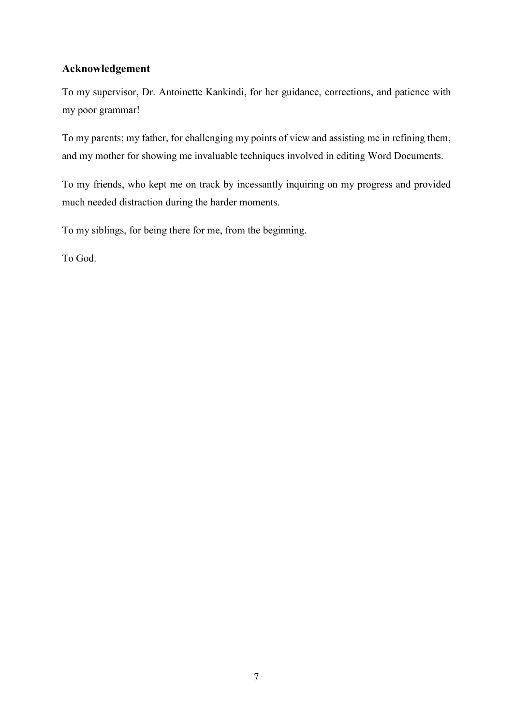# <span id="page-6-0"></span>**Acknowledgement**

To my supervisor, Dr. Antoinette Kankindi, for her guidance, corrections, and patience with my poor grammar!

To my parents; my father, for challenging my points of view and assisting me in refining them, and my mother for showing me invaluable techniques involved in editing Word Documents.

To my friends, who kept me on track by incessantly inquiring on my progress and provided much needed distraction during the harder moments.

To my siblings, for being there for me, from the beginning.

To God.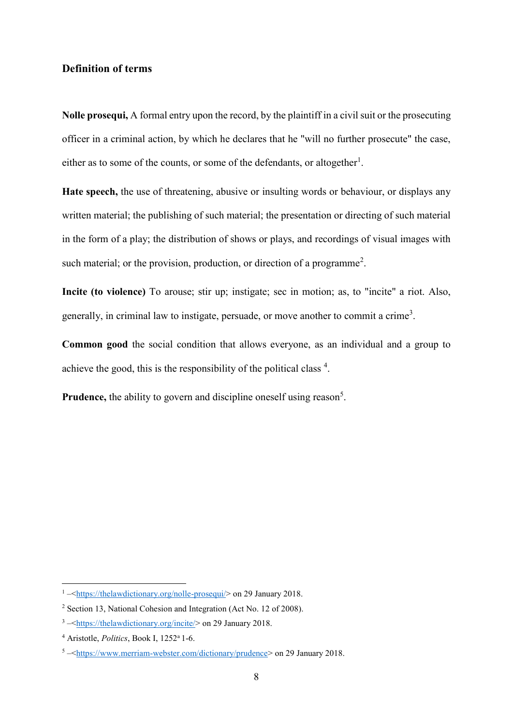# <span id="page-7-0"></span>**Definition of terms**

**Nolle prosequi,** A formal entry upon the record, by the plaintiff in a civil suit or the prosecuting officer in a criminal action, by which he declares that he "will no further prosecute" the case, either as to some of the counts, or some of the defendants, or altogether<sup>1</sup>.

**Hate speech,** the use of threatening, abusive or insulting words or behaviour, or displays any written material; the publishing of such material; the presentation or directing of such material in the form of a play; the distribution of shows or plays, and recordings of visual images with such material; or the provision, production, or direction of a programme<sup>2</sup>.

**Incite (to violence)** To arouse; stir up; instigate; sec in motion; as, to "incite" a riot. Also, generally, in criminal law to instigate, persuade, or move another to commit a crime<sup>3</sup>.

**Common good** the social condition that allows everyone, as an individual and a group to achieve the good, this is the responsibility of the political class  $4$ .

Prudence, the ability to govern and discipline oneself using reason<sup>5</sup>.

<sup>&</sup>lt;sup>1</sup>-[<https://thelawdictionary.org/nolle-prosequi/>](https://thelawdictionary.org/nolle-prosequi/) on 29 January 2018.

<sup>2</sup> Section 13, National Cohesion and Integration (Act No. 12 of 2008).

 $3 - \frac{\text{https://thelawdictionary.org/incite/> on 29 January 2018.}}{10}$ 

<sup>4</sup> Aristotle, *Politics*, Book I, 1252<sup>a</sup>1-6.

<sup>5</sup> –[<https://www.merriam-webster.com/dictionary/prudence>](https://www.merriam-webster.com/dictionary/prudence) on 29 January 2018.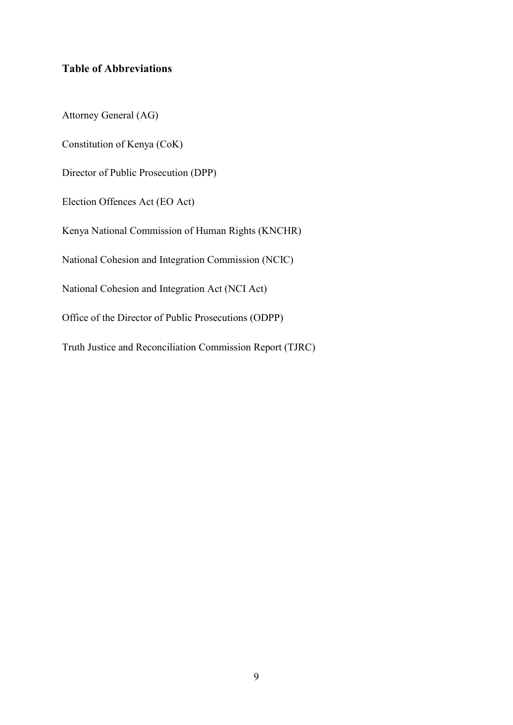# <span id="page-8-0"></span>**Table of Abbreviations**

Attorney General (AG) Constitution of Kenya (CoK) Director of Public Prosecution (DPP) Election Offences Act (EO Act) Kenya National Commission of Human Rights (KNCHR) National Cohesion and Integration Commission (NCIC) National Cohesion and Integration Act (NCI Act) Office of the Director of Public Prosecutions (ODPP) Truth Justice and Reconciliation Commission Report (TJRC)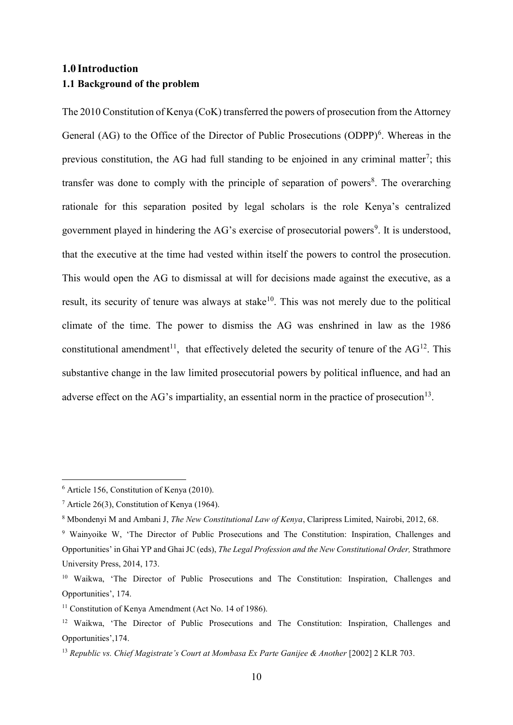# <span id="page-9-1"></span><span id="page-9-0"></span>**1.0 Introduction 1.1 Background of the problem**

The 2010 Constitution of Kenya (CoK) transferred the powers of prosecution from the Attorney General  $(AG)$  to the Office of the Director of Public Prosecutions  $(ODPP)^6$ . Whereas in the previous constitution, the AG had full standing to be enjoined in any criminal matter<sup>7</sup>; this transfer was done to comply with the principle of separation of powers<sup>8</sup>. The overarching rationale for this separation posited by legal scholars is the role Kenya's centralized government played in hindering the AG's exercise of prosecutorial powers<sup>9</sup>. It is understood, that the executive at the time had vested within itself the powers to control the prosecution. This would open the AG to dismissal at will for decisions made against the executive, as a result, its security of tenure was always at stake $10$ . This was not merely due to the political climate of the time. The power to dismiss the AG was enshrined in law as the 1986 constitutional amendment<sup>11</sup>, that effectively deleted the security of tenure of the  $AG<sup>12</sup>$ . This substantive change in the law limited prosecutorial powers by political influence, and had an adverse effect on the AG's impartiality, an essential norm in the practice of prosecution<sup>13</sup>.

<sup>6</sup> Article 156, Constitution of Kenya (2010).

<sup>7</sup> Article 26(3), Constitution of Kenya (1964).

<sup>8</sup> Mbondenyi M and Ambani J, *The New Constitutional Law of Kenya*, Claripress Limited, Nairobi, 2012, 68.

<sup>9</sup> Wainyoike W, 'The Director of Public Prosecutions and The Constitution: Inspiration, Challenges and Opportunities' in Ghai YP and Ghai JC (eds), *The Legal Profession and the New Constitutional Order,* Strathmore University Press, 2014, 173.

<sup>&</sup>lt;sup>10</sup> Waikwa, 'The Director of Public Prosecutions and The Constitution: Inspiration, Challenges and Opportunities', 174.

<sup>&</sup>lt;sup>11</sup> Constitution of Kenya Amendment (Act No. 14 of 1986).

<sup>&</sup>lt;sup>12</sup> Waikwa, 'The Director of Public Prosecutions and The Constitution: Inspiration, Challenges and Opportunities',174.

<sup>13</sup> *Republic vs. Chief Magistrate's Court at Mombasa Ex Parte Ganijee & Another* [2002] 2 KLR 703.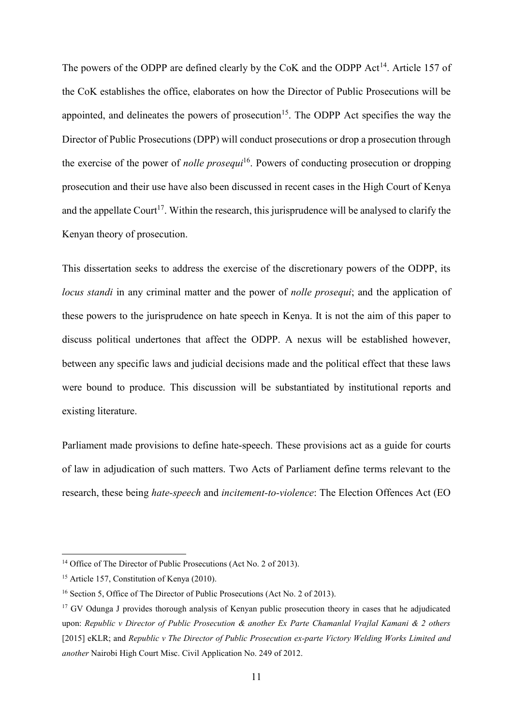The powers of the ODPP are defined clearly by the CoK and the ODPP Act<sup>14</sup>. Article 157 of the CoK establishes the office, elaborates on how the Director of Public Prosecutions will be appointed, and delineates the powers of prosecution<sup>15</sup>. The ODPP Act specifies the way the Director of Public Prosecutions (DPP) will conduct prosecutions or drop a prosecution through the exercise of the power of *nolle prosequi*<sup>16</sup>. Powers of conducting prosecution or dropping prosecution and their use have also been discussed in recent cases in the High Court of Kenya and the appellate Court<sup>17</sup>. Within the research, this jurisprudence will be analysed to clarify the Kenyan theory of prosecution.

This dissertation seeks to address the exercise of the discretionary powers of the ODPP, its *locus standi* in any criminal matter and the power of *nolle prosequi*; and the application of these powers to the jurisprudence on hate speech in Kenya. It is not the aim of this paper to discuss political undertones that affect the ODPP. A nexus will be established however, between any specific laws and judicial decisions made and the political effect that these laws were bound to produce. This discussion will be substantiated by institutional reports and existing literature.

Parliament made provisions to define hate-speech. These provisions act as a guide for courts of law in adjudication of such matters. Two Acts of Parliament define terms relevant to the research, these being *hate-speech* and *incitement-to-violence*: The Election Offences Act (EO

<sup>&</sup>lt;sup>14</sup> Office of The Director of Public Prosecutions (Act No. 2 of 2013).

<sup>&</sup>lt;sup>15</sup> Article 157, Constitution of Kenya (2010).

<sup>&</sup>lt;sup>16</sup> Section 5, Office of The Director of Public Prosecutions (Act No. 2 of 2013).

<sup>&</sup>lt;sup>17</sup> GV Odunga J provides thorough analysis of Kenyan public prosecution theory in cases that he adjudicated upon: *Republic v Director of Public Prosecution & another Ex Parte Chamanlal Vrajlal Kamani & 2 others* [2015] eKLR; and *Republic v The Director of Public Prosecution ex-parte Victory Welding Works Limited and another* Nairobi High Court Misc. Civil Application No. 249 of 2012.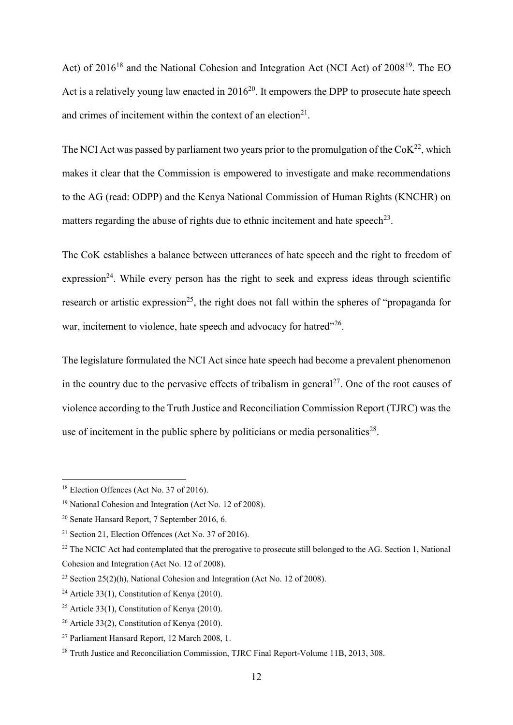Act) of 2016<sup>18</sup> and the National Cohesion and Integration Act (NCI Act) of 2008<sup>19</sup>. The EO Act is a relatively young law enacted in  $2016^{20}$ . It empowers the DPP to prosecute hate speech and crimes of incitement within the context of an election $2<sup>1</sup>$ .

The NCI Act was passed by parliament two years prior to the promulgation of the  $CoK<sup>22</sup>$ , which makes it clear that the Commission is empowered to investigate and make recommendations to the AG (read: ODPP) and the Kenya National Commission of Human Rights (KNCHR) on matters regarding the abuse of rights due to ethnic incitement and hate speech<sup>23</sup>.

The CoK establishes a balance between utterances of hate speech and the right to freedom of expression<sup>24</sup>. While every person has the right to seek and express ideas through scientific research or artistic expression<sup>25</sup>, the right does not fall within the spheres of "propaganda for war, incitement to violence, hate speech and advocacy for hatred"<sup>26</sup>.

The legislature formulated the NCI Act since hate speech had become a prevalent phenomenon in the country due to the pervasive effects of tribalism in general<sup>27</sup>. One of the root causes of violence according to the Truth Justice and Reconciliation Commission Report (TJRC) was the use of incitement in the public sphere by politicians or media personalities<sup>28</sup>.

<sup>&</sup>lt;sup>18</sup> Election Offences (Act No. 37 of 2016).

<sup>19</sup> National Cohesion and Integration (Act No. 12 of 2008).

<sup>20</sup> Senate Hansard Report, 7 September 2016, 6.

<sup>21</sup> Section 21, Election Offences (Act No. 37 of 2016).

<sup>&</sup>lt;sup>22</sup> The NCIC Act had contemplated that the prerogative to prosecute still belonged to the AG. Section 1, National Cohesion and Integration (Act No. 12 of 2008).

<sup>&</sup>lt;sup>23</sup> Section 25(2)(h), National Cohesion and Integration (Act No. 12 of 2008).

<sup>&</sup>lt;sup>24</sup> Article 33(1), Constitution of Kenya (2010).

<sup>&</sup>lt;sup>25</sup> Article 33(1), Constitution of Kenya (2010).

<sup>26</sup> Article 33(2), Constitution of Kenya (2010).

<sup>27</sup> Parliament Hansard Report, 12 March 2008, 1.

<sup>&</sup>lt;sup>28</sup> Truth Justice and Reconciliation Commission, TJRC Final Report-Volume 11B, 2013, 308.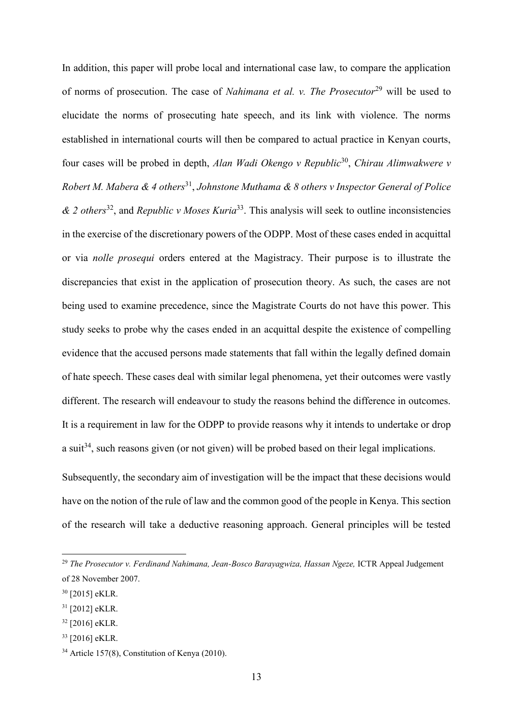In addition, this paper will probe local and international case law, to compare the application of norms of prosecution. The case of *Nahimana et al. v. The Prosecutor*<sup>29</sup> will be used to elucidate the norms of prosecuting hate speech, and its link with violence. The norms established in international courts will then be compared to actual practice in Kenyan courts, four cases will be probed in depth, *Alan Wadi Okengo v Republic*<sup>30</sup> , *Chirau Alimwakwere v*  Robert M. Mabera & 4 others<sup>31</sup>, Johnstone Muthama & 8 others v Inspector General of Police *& 2 others*<sup>32</sup>, and *Republic v Moses Kuria*<sup>33</sup>. This analysis will seek to outline inconsistencies in the exercise of the discretionary powers of the ODPP. Most of these cases ended in acquittal or via *nolle prosequi* orders entered at the Magistracy. Their purpose is to illustrate the discrepancies that exist in the application of prosecution theory. As such, the cases are not being used to examine precedence, since the Magistrate Courts do not have this power. This study seeks to probe why the cases ended in an acquittal despite the existence of compelling evidence that the accused persons made statements that fall within the legally defined domain of hate speech. These cases deal with similar legal phenomena, yet their outcomes were vastly different. The research will endeavour to study the reasons behind the difference in outcomes. It is a requirement in law for the ODPP to provide reasons why it intends to undertake or drop a suit<sup>34</sup>, such reasons given (or not given) will be probed based on their legal implications. Subsequently, the secondary aim of investigation will be the impact that these decisions would

have on the notion of the rule of law and the common good of the people in Kenya. This section of the research will take a deductive reasoning approach. General principles will be tested

<sup>&</sup>lt;sup>29</sup> The Prosecutor v. Ferdinand Nahimana, Jean-Bosco Barayagwiza, Hassan Ngeze, ICTR Appeal Judgement of 28 November 2007.

<sup>30</sup> [2015] eKLR.

<sup>31</sup> [2012] eKLR.

<sup>32</sup> [2016] eKLR.

<sup>33</sup> [2016] eKLR.

<sup>34</sup> Article 157(8), Constitution of Kenya (2010).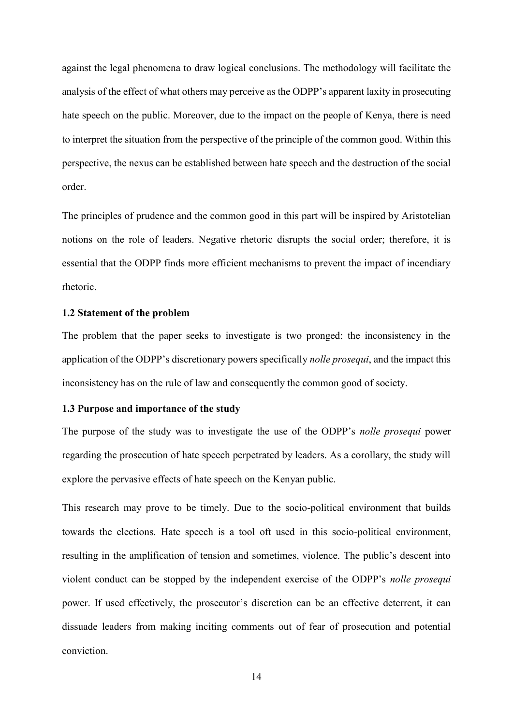against the legal phenomena to draw logical conclusions. The methodology will facilitate the analysis of the effect of what others may perceive as the ODPP's apparent laxity in prosecuting hate speech on the public. Moreover, due to the impact on the people of Kenya, there is need to interpret the situation from the perspective of the principle of the common good. Within this perspective, the nexus can be established between hate speech and the destruction of the social order.

The principles of prudence and the common good in this part will be inspired by Aristotelian notions on the role of leaders. Negative rhetoric disrupts the social order; therefore, it is essential that the ODPP finds more efficient mechanisms to prevent the impact of incendiary rhetoric.

### <span id="page-13-0"></span>**1.2 Statement of the problem**

The problem that the paper seeks to investigate is two pronged: the inconsistency in the application of the ODPP's discretionary powers specifically *nolle prosequi*, and the impact this inconsistency has on the rule of law and consequently the common good of society.

## <span id="page-13-1"></span>**1.3 Purpose and importance of the study**

The purpose of the study was to investigate the use of the ODPP's *nolle prosequi* power regarding the prosecution of hate speech perpetrated by leaders. As a corollary, the study will explore the pervasive effects of hate speech on the Kenyan public.

This research may prove to be timely. Due to the socio-political environment that builds towards the elections. Hate speech is a tool oft used in this socio-political environment, resulting in the amplification of tension and sometimes, violence. The public's descent into violent conduct can be stopped by the independent exercise of the ODPP's *nolle prosequi*  power. If used effectively, the prosecutor's discretion can be an effective deterrent, it can dissuade leaders from making inciting comments out of fear of prosecution and potential conviction.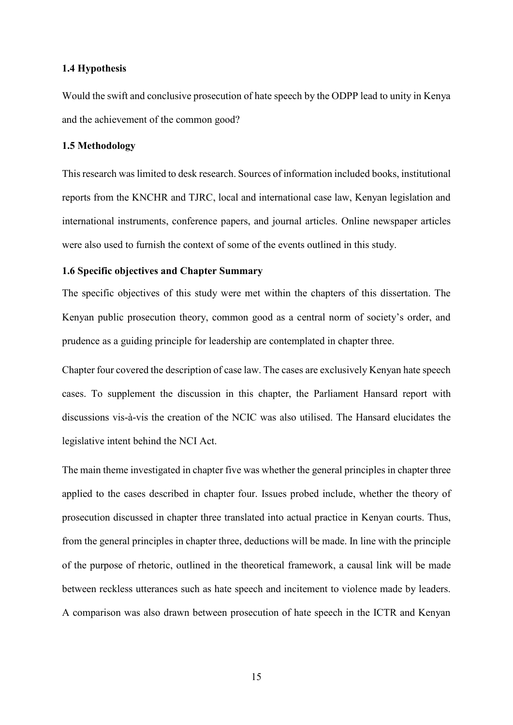## <span id="page-14-0"></span>**1.4 Hypothesis**

Would the swift and conclusive prosecution of hate speech by the ODPP lead to unity in Kenya and the achievement of the common good?

# <span id="page-14-1"></span>**1.5 Methodology**

This research was limited to desk research. Sources of information included books, institutional reports from the KNCHR and TJRC, local and international case law, Kenyan legislation and international instruments, conference papers, and journal articles. Online newspaper articles were also used to furnish the context of some of the events outlined in this study.

### <span id="page-14-2"></span>**1.6 Specific objectives and Chapter Summary**

The specific objectives of this study were met within the chapters of this dissertation. The Kenyan public prosecution theory, common good as a central norm of society's order, and prudence as a guiding principle for leadership are contemplated in chapter three.

Chapter four covered the description of case law. The cases are exclusively Kenyan hate speech cases. To supplement the discussion in this chapter, the Parliament Hansard report with discussions vis-à-vis the creation of the NCIC was also utilised. The Hansard elucidates the legislative intent behind the NCI Act.

The main theme investigated in chapter five was whether the general principles in chapter three applied to the cases described in chapter four. Issues probed include, whether the theory of prosecution discussed in chapter three translated into actual practice in Kenyan courts. Thus, from the general principles in chapter three, deductions will be made. In line with the principle of the purpose of rhetoric, outlined in the theoretical framework, a causal link will be made between reckless utterances such as hate speech and incitement to violence made by leaders. A comparison was also drawn between prosecution of hate speech in the ICTR and Kenyan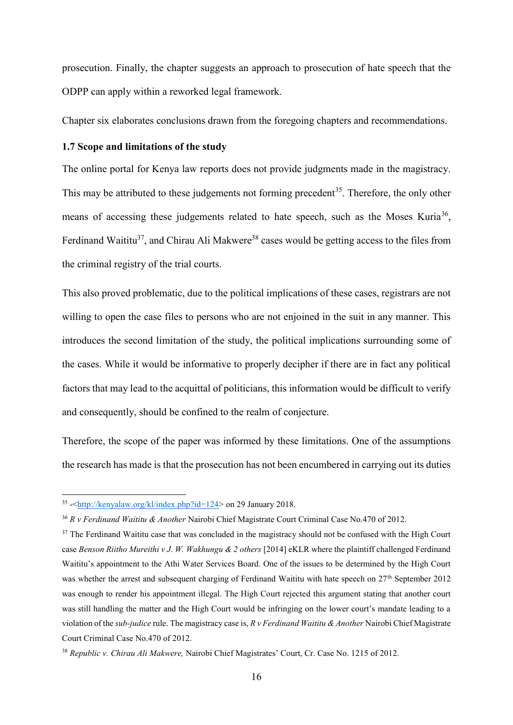prosecution. Finally, the chapter suggests an approach to prosecution of hate speech that the ODPP can apply within a reworked legal framework.

Chapter six elaborates conclusions drawn from the foregoing chapters and recommendations.

# <span id="page-15-0"></span>**1.7 Scope and limitations of the study**

The online portal for Kenya law reports does not provide judgments made in the magistracy. This may be attributed to these judgements not forming precedent<sup>35</sup>. Therefore, the only other means of accessing these judgements related to hate speech, such as the Moses Kuria<sup>36</sup>, Ferdinand Waititu<sup>37</sup>, and Chirau Ali Makwere<sup>38</sup> cases would be getting access to the files from the criminal registry of the trial courts.

This also proved problematic, due to the political implications of these cases, registrars are not willing to open the case files to persons who are not enjoined in the suit in any manner. This introduces the second limitation of the study, the political implications surrounding some of the cases. While it would be informative to properly decipher if there are in fact any political factors that may lead to the acquittal of politicians, this information would be difficult to verify and consequently, should be confined to the realm of conjecture.

Therefore, the scope of the paper was informed by these limitations. One of the assumptions the research has made is that the prosecution has not been encumbered in carrying out its duties

<sup>-&</sup>lt;br><sup>35</sup> -[<http://kenyalaw.org/kl/index.php?id=124>](http://kenyalaw.org/kl/index.php?id=124) on 29 January 2018.

<sup>36</sup> *R v Ferdinand Waititu & Another* Nairobi Chief Magistrate Court Criminal Case No.470 of 2012.

<sup>&</sup>lt;sup>37</sup> The Ferdinand Waititu case that was concluded in the magistracy should not be confused with the High Court case *Benson Riitho Mureithi v J. W. Wakhungu & 2 others* [2014] eKLR where the plaintiff challenged Ferdinand Waititu's appointment to the Athi Water Services Board. One of the issues to be determined by the High Court was whether the arrest and subsequent charging of Ferdinand Waititu with hate speech on 27<sup>th</sup> September 2012 was enough to render his appointment illegal. The High Court rejected this argument stating that another court was still handling the matter and the High Court would be infringing on the lower court's mandate leading to a violation of the *sub-judice* rule. The magistracy case is, *R v Ferdinand Waititu & Another* Nairobi Chief Magistrate Court Criminal Case No.470 of 2012.

<sup>38</sup> *Republic v. Chirau Ali Makwere,* Nairobi Chief Magistrates' Court, Cr. Case No. 1215 of 2012.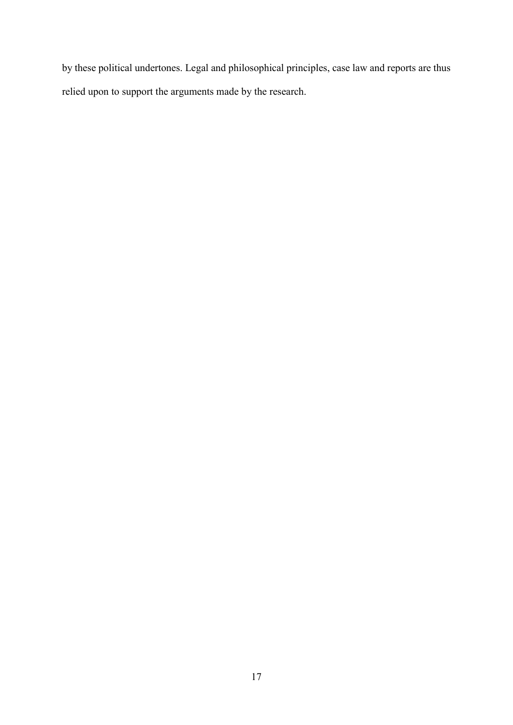by these political undertones. Legal and philosophical principles, case law and reports are thus relied upon to support the arguments made by the research.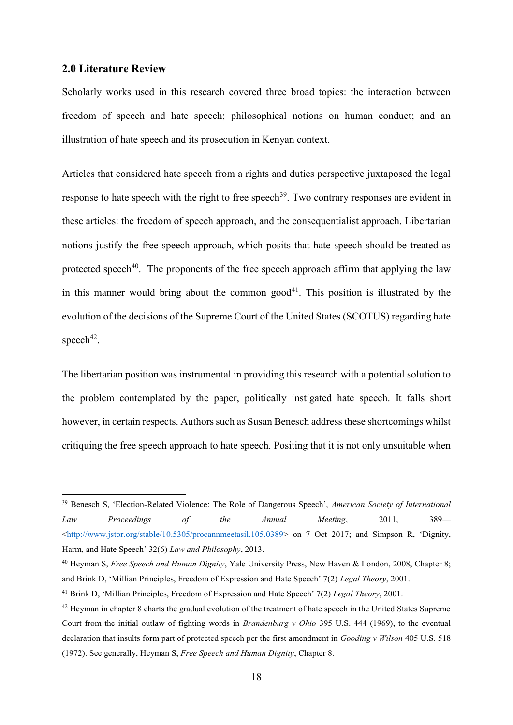## <span id="page-17-0"></span>**2.0 Literature Review**

<u>.</u>

Scholarly works used in this research covered three broad topics: the interaction between freedom of speech and hate speech; philosophical notions on human conduct; and an illustration of hate speech and its prosecution in Kenyan context.

Articles that considered hate speech from a rights and duties perspective juxtaposed the legal response to hate speech with the right to free speech<sup>39</sup>. Two contrary responses are evident in these articles: the freedom of speech approach, and the consequentialist approach. Libertarian notions justify the free speech approach, which posits that hate speech should be treated as protected speech<sup>40</sup>. The proponents of the free speech approach affirm that applying the law in this manner would bring about the common good<sup> $41$ </sup>. This position is illustrated by the evolution of the decisions of the Supreme Court of the United States (SCOTUS) regarding hate speech<sup>42</sup>.

The libertarian position was instrumental in providing this research with a potential solution to the problem contemplated by the paper, politically instigated hate speech. It falls short however, in certain respects. Authors such as Susan Benesch address these shortcomings whilst critiquing the free speech approach to hate speech. Positing that it is not only unsuitable when

<sup>39</sup> Benesch S, 'Election-Related Violence: The Role of Dangerous Speech', *American Society of International Law Proceedings of the Annual Meeting*, 2011, 389—  $\text{Khttp://www.jstor.org/stable/10.5305/procammeetasil.105.0389> on 7 Oct 2017; and Simpson R, 'Dignity,'}$ Harm, and Hate Speech' 32(6) *Law and Philosophy*, 2013.

<sup>40</sup> Heyman S, *Free Speech and Human Dignity*, Yale University Press, New Haven & London, 2008, Chapter 8; and Brink D, 'Millian Principles, Freedom of Expression and Hate Speech' 7(2) *Legal Theory*, 2001.

<sup>41</sup> Brink D, 'Millian Principles, Freedom of Expression and Hate Speech' 7(2) *Legal Theory*, 2001.

<sup>&</sup>lt;sup>42</sup> Heyman in chapter 8 charts the gradual evolution of the treatment of hate speech in the United States Supreme Court from the initial outlaw of fighting words in *Brandenburg v Ohio* 395 U.S. 444 (1969), to the eventual declaration that insults form part of protected speech per the first amendment in *Gooding v Wilson* 405 U.S. 518 (1972). See generally, Heyman S, *Free Speech and Human Dignity*, Chapter 8.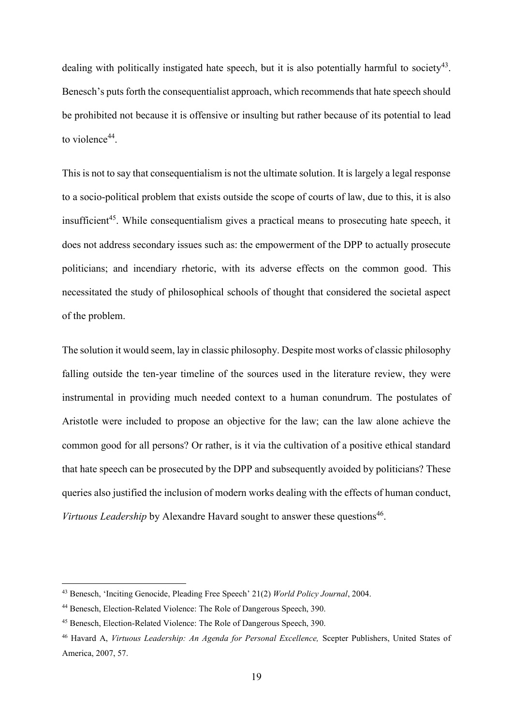dealing with politically instigated hate speech, but it is also potentially harmful to society<sup>43</sup>. Benesch's puts forth the consequentialist approach, which recommends that hate speech should be prohibited not because it is offensive or insulting but rather because of its potential to lead to violence<sup>44</sup>.

This is not to say that consequentialism is not the ultimate solution. It is largely a legal response to a socio-political problem that exists outside the scope of courts of law, due to this, it is also insufficient<sup>45</sup>. While consequentialism gives a practical means to prosecuting hate speech, it does not address secondary issues such as: the empowerment of the DPP to actually prosecute politicians; and incendiary rhetoric, with its adverse effects on the common good. This necessitated the study of philosophical schools of thought that considered the societal aspect of the problem.

The solution it would seem, lay in classic philosophy. Despite most works of classic philosophy falling outside the ten-year timeline of the sources used in the literature review, they were instrumental in providing much needed context to a human conundrum. The postulates of Aristotle were included to propose an objective for the law; can the law alone achieve the common good for all persons? Or rather, is it via the cultivation of a positive ethical standard that hate speech can be prosecuted by the DPP and subsequently avoided by politicians? These queries also justified the inclusion of modern works dealing with the effects of human conduct, Virtuous Leadership by Alexandre Havard sought to answer these questions<sup>46</sup>.

<sup>43</sup> Benesch, 'Inciting Genocide, Pleading Free Speech' 21(2) *World Policy Journal*, 2004.

<sup>44</sup> Benesch, Election-Related Violence: The Role of Dangerous Speech, 390.

<sup>45</sup> Benesch, Election-Related Violence: The Role of Dangerous Speech, 390.

<sup>46</sup> Havard A, *Virtuous Leadership: An Agenda for Personal Excellence,* Scepter Publishers, United States of America, 2007, 57.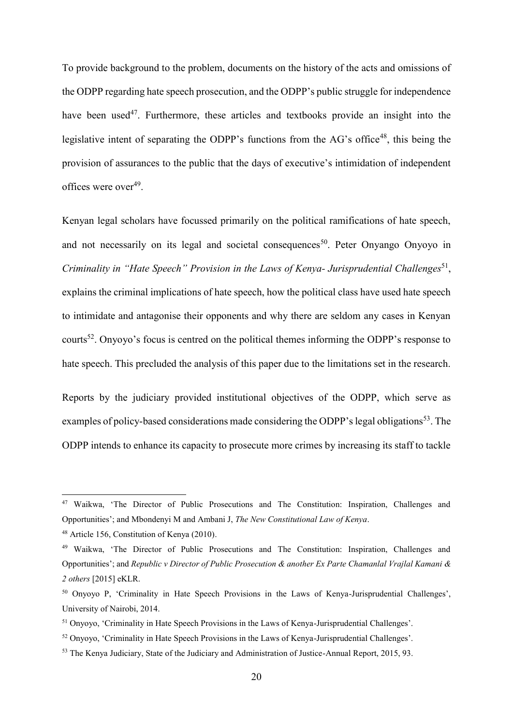To provide background to the problem, documents on the history of the acts and omissions of the ODPP regarding hate speech prosecution, and the ODPP's public struggle for independence have been used<sup>47</sup>. Furthermore, these articles and textbooks provide an insight into the legislative intent of separating the ODPP's functions from the  $AG$ 's office<sup>48</sup>, this being the provision of assurances to the public that the days of executive's intimidation of independent offices were over<sup>49</sup>.

Kenyan legal scholars have focussed primarily on the political ramifications of hate speech, and not necessarily on its legal and societal consequences<sup>50</sup>. Peter Onyango Onyoyo in Criminality in "Hate Speech" Provision in the Laws of Kenya- Jurisprudential Challenges<sup>51</sup>, explains the criminal implications of hate speech, how the political class have used hate speech to intimidate and antagonise their opponents and why there are seldom any cases in Kenyan courts<sup>52</sup>. Onyoyo's focus is centred on the political themes informing the ODPP's response to hate speech. This precluded the analysis of this paper due to the limitations set in the research.

Reports by the judiciary provided institutional objectives of the ODPP, which serve as examples of policy-based considerations made considering the ODPP's legal obligations<sup>53</sup>. The ODPP intends to enhance its capacity to prosecute more crimes by increasing its staff to tackle

<sup>&</sup>lt;sup>47</sup> Waikwa, 'The Director of Public Prosecutions and The Constitution: Inspiration, Challenges and Opportunities'; and Mbondenyi M and Ambani J, *The New Constitutional Law of Kenya*.

<sup>48</sup> Article 156, Constitution of Kenya (2010).

<sup>49</sup> Waikwa, 'The Director of Public Prosecutions and The Constitution: Inspiration, Challenges and Opportunities'; and *Republic v Director of Public Prosecution & another Ex Parte Chamanlal Vrajlal Kamani & 2 others* [2015] eKLR.

<sup>50</sup> Onyoyo P, 'Criminality in Hate Speech Provisions in the Laws of Kenya-Jurisprudential Challenges', University of Nairobi, 2014.

<sup>51</sup> Onyoyo, 'Criminality in Hate Speech Provisions in the Laws of Kenya-Jurisprudential Challenges'.

<sup>52</sup> Onyoyo, 'Criminality in Hate Speech Provisions in the Laws of Kenya-Jurisprudential Challenges'.

<sup>53</sup> The Kenya Judiciary, State of the Judiciary and Administration of Justice-Annual Report, 2015, 93.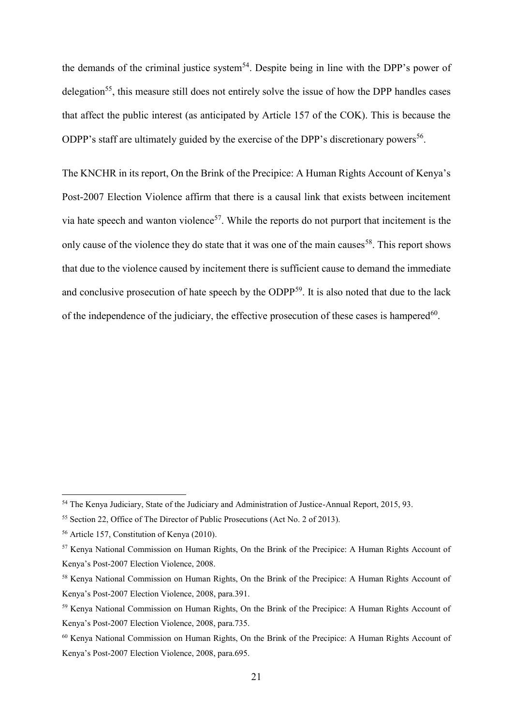the demands of the criminal justice system<sup>54</sup>. Despite being in line with the DPP's power of delegation<sup>55</sup>, this measure still does not entirely solve the issue of how the DPP handles cases that affect the public interest (as anticipated by Article 157 of the COK). This is because the ODPP's staff are ultimately guided by the exercise of the DPP's discretionary powers<sup>56</sup>.

The KNCHR in its report, On the Brink of the Precipice: A Human Rights Account of Kenya's Post-2007 Election Violence affirm that there is a causal link that exists between incitement via hate speech and wanton violence<sup>57</sup>. While the reports do not purport that incitement is the only cause of the violence they do state that it was one of the main causes<sup>58</sup>. This report shows that due to the violence caused by incitement there is sufficient cause to demand the immediate and conclusive prosecution of hate speech by the ODPP<sup>59</sup>. It is also noted that due to the lack of the independence of the judiciary, the effective prosecution of these cases is hampered $^{60}$ .

<sup>&</sup>lt;sup>54</sup> The Kenya Judiciary, State of the Judiciary and Administration of Justice-Annual Report, 2015, 93.

<sup>55</sup> Section 22, Office of The Director of Public Prosecutions (Act No. 2 of 2013).

<sup>56</sup> Article 157, Constitution of Kenya (2010).

<sup>57</sup> Kenya National Commission on Human Rights, On the Brink of the Precipice: A Human Rights Account of Kenya's Post-2007 Election Violence, 2008.

<sup>58</sup> Kenya National Commission on Human Rights, On the Brink of the Precipice: A Human Rights Account of Kenya's Post-2007 Election Violence, 2008, para.391.

<sup>59</sup> Kenya National Commission on Human Rights, On the Brink of the Precipice: A Human Rights Account of Kenya's Post-2007 Election Violence, 2008, para.735.

<sup>60</sup> Kenya National Commission on Human Rights, On the Brink of the Precipice: A Human Rights Account of Kenya's Post-2007 Election Violence, 2008, para.695.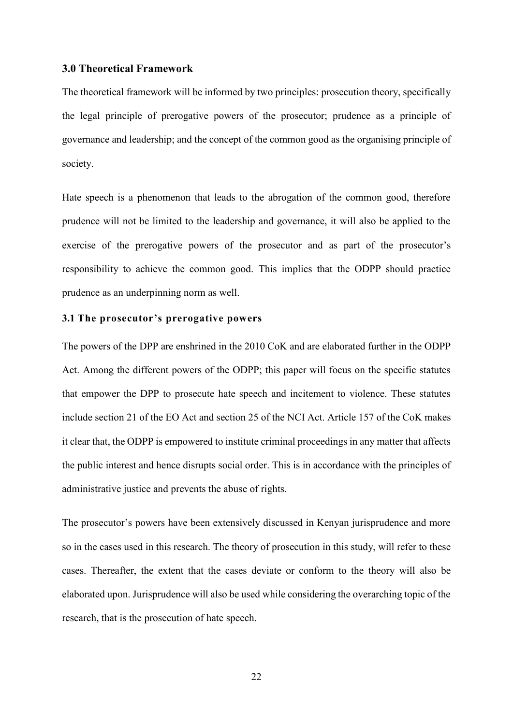## <span id="page-21-0"></span>**3.0 Theoretical Framework**

The theoretical framework will be informed by two principles: prosecution theory, specifically the legal principle of prerogative powers of the prosecutor; prudence as a principle of governance and leadership; and the concept of the common good as the organising principle of society.

Hate speech is a phenomenon that leads to the abrogation of the common good, therefore prudence will not be limited to the leadership and governance, it will also be applied to the exercise of the prerogative powers of the prosecutor and as part of the prosecutor's responsibility to achieve the common good. This implies that the ODPP should practice prudence as an underpinning norm as well.

## <span id="page-21-1"></span>**3.1 The prosecutor's prerogative powers**

The powers of the DPP are enshrined in the 2010 CoK and are elaborated further in the ODPP Act. Among the different powers of the ODPP; this paper will focus on the specific statutes that empower the DPP to prosecute hate speech and incitement to violence. These statutes include section 21 of the EO Act and section 25 of the NCI Act. Article 157 of the CoK makes it clear that, the ODPP is empowered to institute criminal proceedings in any matter that affects the public interest and hence disrupts social order. This is in accordance with the principles of administrative justice and prevents the abuse of rights.

The prosecutor's powers have been extensively discussed in Kenyan jurisprudence and more so in the cases used in this research. The theory of prosecution in this study, will refer to these cases. Thereafter, the extent that the cases deviate or conform to the theory will also be elaborated upon. Jurisprudence will also be used while considering the overarching topic of the research, that is the prosecution of hate speech.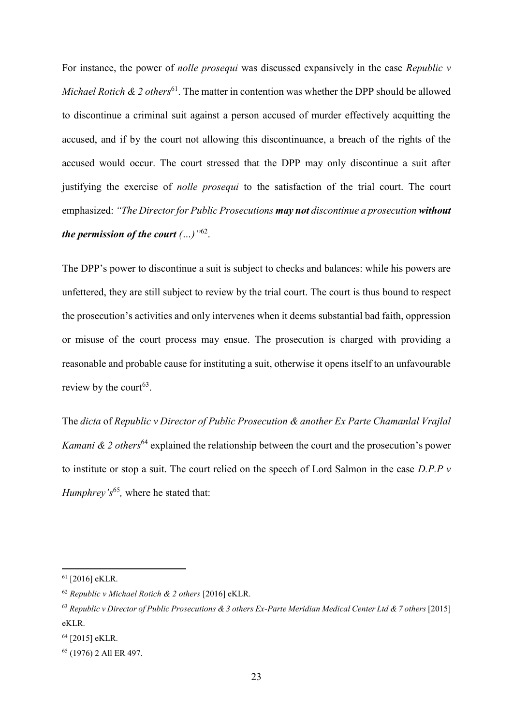For instance, the power of *nolle prosequi* was discussed expansively in the case *Republic v Michael Rotich & 2 others*<sup>61</sup>. The matter in contention was whether the DPP should be allowed to discontinue a criminal suit against a person accused of murder effectively acquitting the accused, and if by the court not allowing this discontinuance, a breach of the rights of the accused would occur. The court stressed that the DPP may only discontinue a suit after justifying the exercise of *nolle prosequi* to the satisfaction of the trial court. The court emphasized: *"The Director for Public Prosecutions may not discontinue a prosecution without the permission of the court (…)"*<sup>62</sup> .

The DPP's power to discontinue a suit is subject to checks and balances: while his powers are unfettered, they are still subject to review by the trial court. The court is thus bound to respect the prosecution's activities and only intervenes when it deems substantial bad faith, oppression or misuse of the court process may ensue. The prosecution is charged with providing a reasonable and probable cause for instituting a suit, otherwise it opens itself to an unfavourable review by the court<sup>63</sup>.

The *dicta* of *Republic v Director of Public Prosecution & another Ex Parte Chamanlal Vrajlal Kamani & 2 others*<sup>64</sup> explained the relationship between the court and the prosecution's power to institute or stop a suit. The court relied on the speech of Lord Salmon in the case *D.P.P v*  Humphrey's<sup>65</sup>, where he stated that:

<sup>61</sup> [2016] eKLR.

<sup>62</sup> *Republic v Michael Rotich & 2 others* [2016] eKLR.

<sup>63</sup> *Republic v Director of Public Prosecutions & 3 others Ex-Parte Meridian Medical Center Ltd & 7 others* [2015] eKLR.

<sup>64</sup> [2015] eKLR.

<sup>65</sup> (1976) 2 All ER 497.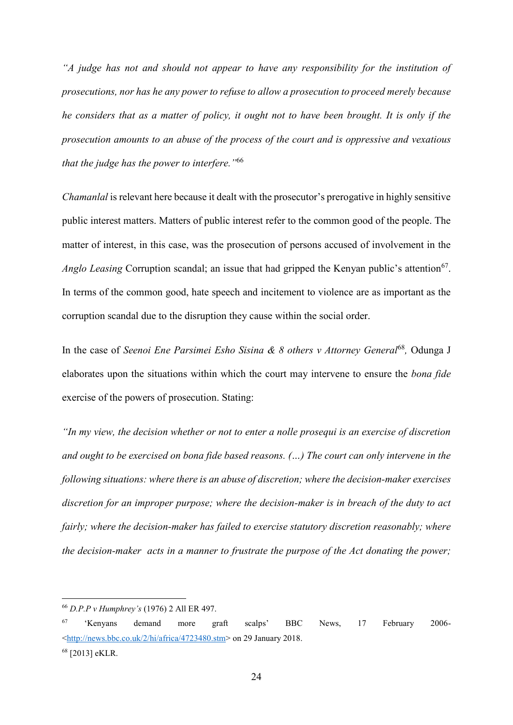*"A judge has not and should not appear to have any responsibility for the institution of prosecutions, nor has he any power to refuse to allow a prosecution to proceed merely because he considers that as a matter of policy, it ought not to have been brought. It is only if the prosecution amounts to an abuse of the process of the court and is oppressive and vexatious that the judge has the power to interfere."*<sup>66</sup>

*Chamanlal* is relevant here because it dealt with the prosecutor's prerogative in highly sensitive public interest matters. Matters of public interest refer to the common good of the people. The matter of interest, in this case, was the prosecution of persons accused of involvement in the Anglo Leasing Corruption scandal; an issue that had gripped the Kenyan public's attention<sup>67</sup>. In terms of the common good, hate speech and incitement to violence are as important as the corruption scandal due to the disruption they cause within the social order.

In the case of *Seenoi Ene Parsimei Esho Sisina & 8 others v Attorney General*<sup>68</sup>, Odunga J elaborates upon the situations within which the court may intervene to ensure the *bona fide*  exercise of the powers of prosecution. Stating:

*"In my view, the decision whether or not to enter a nolle prosequi is an exercise of discretion and ought to be exercised on bona fide based reasons. (…) The court can only intervene in the following situations: where there is an abuse of discretion; where the decision-maker exercises discretion for an improper purpose; where the decision-maker is in breach of the duty to act fairly; where the decision-maker has failed to exercise statutory discretion reasonably; where the decision-maker acts in a manner to frustrate the purpose of the Act donating the power;* 

<sup>66</sup> *D.P.P v Humphrey's* (1976) 2 All ER 497.

<sup>67</sup> 'Kenyans demand more graft scalps' BBC News, 17 February 2006- [<http://news.bbc.co.uk/2/hi/africa/4723480.stm>](http://news.bbc.co.uk/2/hi/africa/4723480.stm) on 29 January 2018. <sup>68</sup> [2013] eKLR.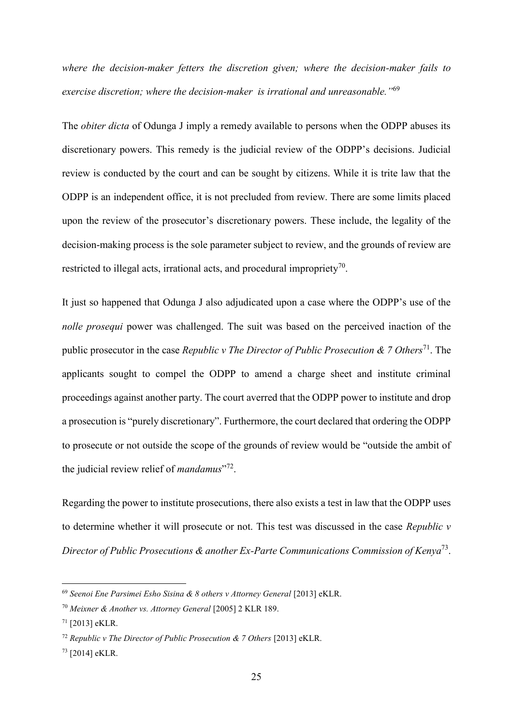*where the decision-maker fetters the discretion given; where the decision-maker fails to exercise discretion; where the decision-maker is irrational and unreasonable."*<sup>69</sup>

The *obiter dicta* of Odunga J imply a remedy available to persons when the ODPP abuses its discretionary powers. This remedy is the judicial review of the ODPP's decisions. Judicial review is conducted by the court and can be sought by citizens. While it is trite law that the ODPP is an independent office, it is not precluded from review. There are some limits placed upon the review of the prosecutor's discretionary powers. These include, the legality of the decision-making process is the sole parameter subject to review, and the grounds of review are restricted to illegal acts, irrational acts, and procedural impropriety<sup>70</sup>.

It just so happened that Odunga J also adjudicated upon a case where the ODPP's use of the *nolle prosequi* power was challenged. The suit was based on the perceived inaction of the public prosecutor in the case *Republic v The Director of Public Prosecution & 7 Others*<sup>71</sup>. The applicants sought to compel the ODPP to amend a charge sheet and institute criminal proceedings against another party. The court averred that the ODPP power to institute and drop a prosecution is "purely discretionary". Furthermore, the court declared that ordering the ODPP to prosecute or not outside the scope of the grounds of review would be "outside the ambit of the judicial review relief of *mandamus*" 72 .

Regarding the power to institute prosecutions, there also exists a test in law that the ODPP uses to determine whether it will prosecute or not. This test was discussed in the case *Republic v Director of Public Prosecutions & another Ex-Parte Communications Commission of Kenya*<sup>73</sup> .

<sup>69</sup> *Seenoi Ene Parsimei Esho Sisina & 8 others v Attorney General* [2013] eKLR.

<sup>70</sup> *Meixner & Another vs. Attorney General* [2005] 2 KLR 189.

<sup>71</sup> [2013] eKLR.

<sup>72</sup> *Republic v The Director of Public Prosecution & 7 Others* [2013] eKLR.

<sup>73</sup> [2014] eKLR.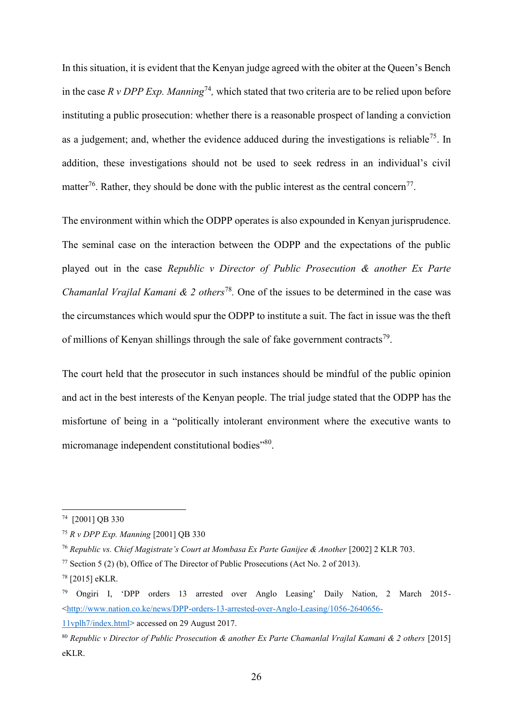In this situation, it is evident that the Kenyan judge agreed with the obiter at the Queen's Bench in the case  $R \, v \, DPP$  *Exp. Manning*<sup>74</sup>, which stated that two criteria are to be relied upon before instituting a public prosecution: whether there is a reasonable prospect of landing a conviction as a judgement; and, whether the evidence adduced during the investigations is reliable<sup>75</sup>. In addition, these investigations should not be used to seek redress in an individual's civil matter<sup>76</sup>. Rather, they should be done with the public interest as the central concern<sup>77</sup>.

The environment within which the ODPP operates is also expounded in Kenyan jurisprudence. The seminal case on the interaction between the ODPP and the expectations of the public played out in the case *Republic v Director of Public Prosecution & another Ex Parte Chamanlal Vrajlal Kamani & 2 others*<sup>78</sup>. One of the issues to be determined in the case was the circumstances which would spur the ODPP to institute a suit. The fact in issue was the theft of millions of Kenyan shillings through the sale of fake government contracts<sup>79</sup>.

The court held that the prosecutor in such instances should be mindful of the public opinion and act in the best interests of the Kenyan people. The trial judge stated that the ODPP has the misfortune of being in a "politically intolerant environment where the executive wants to micromanage independent constitutional bodies"80.

<sup>74</sup> [2001] QB 330

<sup>75</sup> *R v DPP Exp. Manning* [2001] QB 330

<sup>76</sup> *Republic vs. Chief Magistrate's Court at Mombasa Ex Parte Ganijee & Another* [2002] 2 KLR 703.

<sup>&</sup>lt;sup>77</sup> Section 5 (2) (b), Office of The Director of Public Prosecutions (Act No. 2 of 2013).

<sup>78</sup> [2015] eKLR.

<sup>79</sup> Ongiri I, 'DPP orders 13 arrested over Anglo Leasing' Daily Nation, 2 March 2015- [<http://www.nation.co.ke/news/DPP-orders-13-arrested-over-Anglo-Leasing/1056-2640656-](http://www.nation.co.ke/news/DPP-orders-13-arrested-over-Anglo-Leasing/1056-2640656-11vplh7/index.html)

[<sup>11</sup>vplh7/index.html>](http://www.nation.co.ke/news/DPP-orders-13-arrested-over-Anglo-Leasing/1056-2640656-11vplh7/index.html) accessed on 29 August 2017.

<sup>80</sup> *Republic v Director of Public Prosecution & another Ex Parte Chamanlal Vrajlal Kamani & 2 others* [2015] eKLR.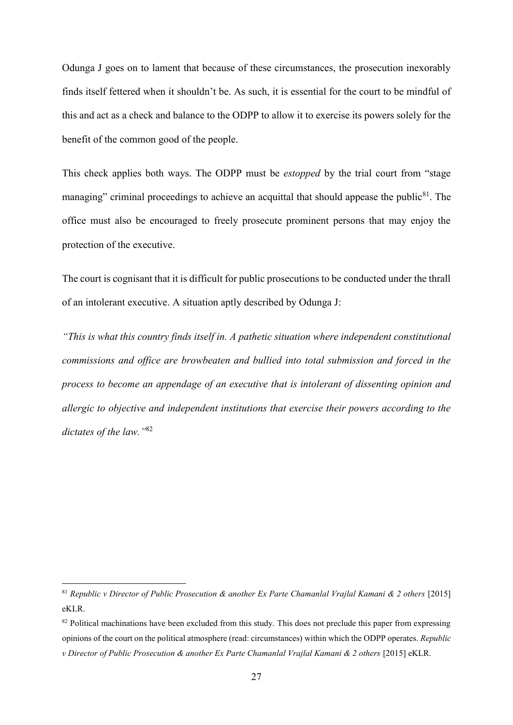Odunga J goes on to lament that because of these circumstances, the prosecution inexorably finds itself fettered when it shouldn't be. As such, it is essential for the court to be mindful of this and act as a check and balance to the ODPP to allow it to exercise its powers solely for the benefit of the common good of the people.

This check applies both ways. The ODPP must be *estopped* by the trial court from "stage managing" criminal proceedings to achieve an acquittal that should appease the public<sup>81</sup>. The office must also be encouraged to freely prosecute prominent persons that may enjoy the protection of the executive.

The court is cognisant that it is difficult for public prosecutions to be conducted under the thrall of an intolerant executive. A situation aptly described by Odunga J:

*"This is what this country finds itself in. A pathetic situation where independent constitutional commissions and office are browbeaten and bullied into total submission and forced in the process to become an appendage of an executive that is intolerant of dissenting opinion and allergic to objective and independent institutions that exercise their powers according to the dictates of the law."*<sup>82</sup>

<sup>&</sup>lt;sup>81</sup> Republic v Director of Public Prosecution & another Ex Parte Chamanlal Vrajlal Kamani & 2 others [2015] eKLR.

<sup>&</sup>lt;sup>82</sup> Political machinations have been excluded from this study. This does not preclude this paper from expressing opinions of the court on the political atmosphere (read: circumstances) within which the ODPP operates. *Republic v Director of Public Prosecution & another Ex Parte Chamanlal Vrajlal Kamani & 2 others* [2015] eKLR.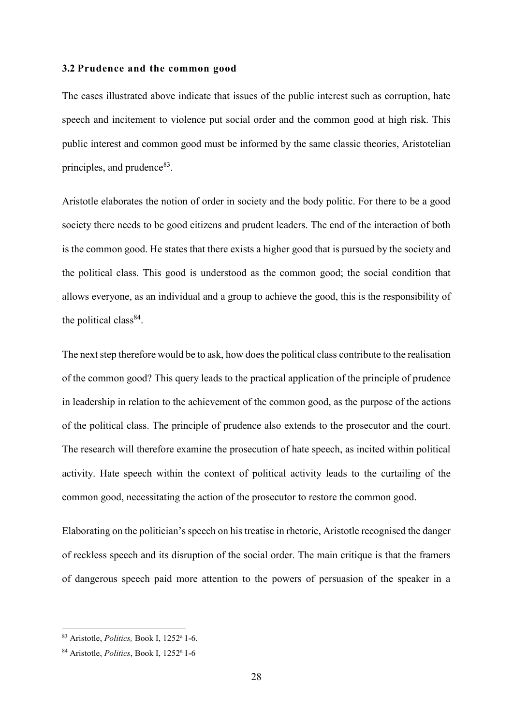### <span id="page-27-0"></span>**3.2 Prudence and the common good**

The cases illustrated above indicate that issues of the public interest such as corruption, hate speech and incitement to violence put social order and the common good at high risk. This public interest and common good must be informed by the same classic theories, Aristotelian principles, and prudence<sup>83</sup>.

Aristotle elaborates the notion of order in society and the body politic. For there to be a good society there needs to be good citizens and prudent leaders. The end of the interaction of both is the common good. He states that there exists a higher good that is pursued by the society and the political class. This good is understood as the common good; the social condition that allows everyone, as an individual and a group to achieve the good, this is the responsibility of the political class<sup>84</sup>.

The next step therefore would be to ask, how does the political class contribute to the realisation of the common good? This query leads to the practical application of the principle of prudence in leadership in relation to the achievement of the common good, as the purpose of the actions of the political class. The principle of prudence also extends to the prosecutor and the court. The research will therefore examine the prosecution of hate speech, as incited within political activity. Hate speech within the context of political activity leads to the curtailing of the common good, necessitating the action of the prosecutor to restore the common good.

Elaborating on the politician's speech on his treatise in rhetoric, Aristotle recognised the danger of reckless speech and its disruption of the social order. The main critique is that the framers of dangerous speech paid more attention to the powers of persuasion of the speaker in a

<sup>83</sup> Aristotle, *Politics,* Book I, 1252<sup>a</sup>1-6.

<sup>&</sup>lt;sup>84</sup> Aristotle, *Politics*, Book I, 1252<sup>a</sup> 1-6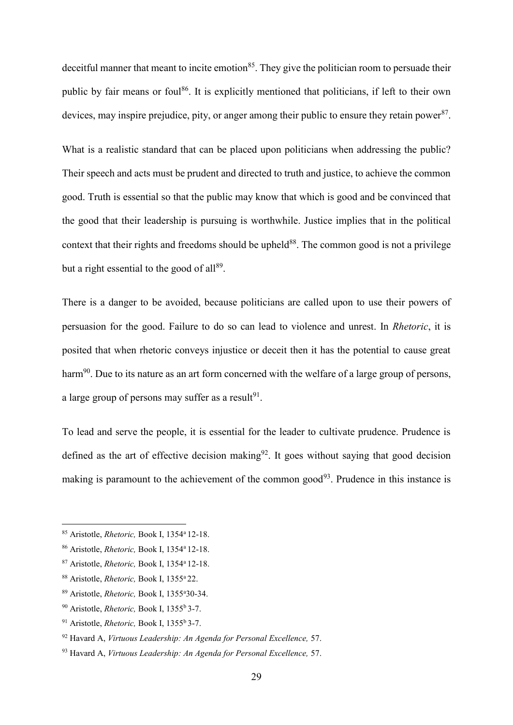deceitful manner that meant to incite emotion<sup>85</sup>. They give the politician room to persuade their public by fair means or foul<sup>86</sup>. It is explicitly mentioned that politicians, if left to their own devices, may inspire prejudice, pity, or anger among their public to ensure they retain power<sup>87</sup>.

What is a realistic standard that can be placed upon politicians when addressing the public? Their speech and acts must be prudent and directed to truth and justice, to achieve the common good. Truth is essential so that the public may know that which is good and be convinced that the good that their leadership is pursuing is worthwhile. Justice implies that in the political context that their rights and freedoms should be upheld<sup>88</sup>. The common good is not a privilege but a right essential to the good of all<sup>89</sup>.

There is a danger to be avoided, because politicians are called upon to use their powers of persuasion for the good. Failure to do so can lead to violence and unrest. In *Rhetoric*, it is posited that when rhetoric conveys injustice or deceit then it has the potential to cause great harm<sup>90</sup>. Due to its nature as an art form concerned with the welfare of a large group of persons, a large group of persons may suffer as a result $91$ .

To lead and serve the people, it is essential for the leader to cultivate prudence. Prudence is defined as the art of effective decision making $92$ . It goes without saying that good decision making is paramount to the achievement of the common good<sup>93</sup>. Prudence in this instance is

<sup>85</sup> Aristotle, *Rhetoric,* Book I, 1354<sup>a</sup>12-18.

<sup>86</sup> Aristotle, *Rhetoric,* Book I, 1354<sup>a</sup>12-18.

<sup>87</sup> Aristotle, *Rhetoric,* Book I, 1354<sup>a</sup>12-18.

<sup>&</sup>lt;sup>88</sup> Aristotle, *Rhetoric*, Book I, 1355<sup>a</sup> 22.

<sup>89</sup> Aristotle, *Rhetoric,* Book I, 1355<sup>a</sup>30-34.

<sup>&</sup>lt;sup>90</sup> Aristotle, *Rhetoric*, Book I, 1355<sup>b</sup> 3-7.

<sup>&</sup>lt;sup>91</sup> Aristotle, *Rhetoric*, Book I, 1355<sup>b</sup> 3-7.

<sup>92</sup> Havard A, *Virtuous Leadership: An Agenda for Personal Excellence,* 57.

<sup>93</sup> Havard A, *Virtuous Leadership: An Agenda for Personal Excellence,* 57.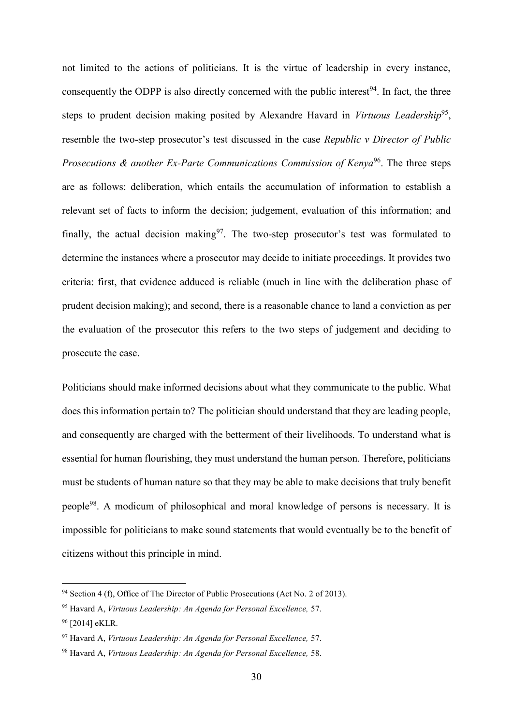not limited to the actions of politicians. It is the virtue of leadership in every instance, consequently the ODPP is also directly concerned with the public interest<sup>94</sup>. In fact, the three steps to prudent decision making posited by Alexandre Havard in *Virtuous Leadership<sup>95</sup>*, resemble the two-step prosecutor's test discussed in the case *Republic v Director of Public Prosecutions & another Ex-Parte Communications Commission of Kenya*<sup>96</sup>. The three steps are as follows: deliberation, which entails the accumulation of information to establish a relevant set of facts to inform the decision; judgement, evaluation of this information; and finally, the actual decision making<sup>97</sup>. The two-step prosecutor's test was formulated to determine the instances where a prosecutor may decide to initiate proceedings. It provides two criteria: first, that evidence adduced is reliable (much in line with the deliberation phase of prudent decision making); and second, there is a reasonable chance to land a conviction as per the evaluation of the prosecutor this refers to the two steps of judgement and deciding to prosecute the case.

Politicians should make informed decisions about what they communicate to the public. What does this information pertain to? The politician should understand that they are leading people, and consequently are charged with the betterment of their livelihoods. To understand what is essential for human flourishing, they must understand the human person. Therefore, politicians must be students of human nature so that they may be able to make decisions that truly benefit people<sup>98</sup>. A modicum of philosophical and moral knowledge of persons is necessary. It is impossible for politicians to make sound statements that would eventually be to the benefit of citizens without this principle in mind.

 $94$  Section 4 (f), Office of The Director of Public Prosecutions (Act No. 2 of 2013).

<sup>95</sup> Havard A, *Virtuous Leadership: An Agenda for Personal Excellence,* 57. <sup>96</sup> [2014] eKLR.

<sup>97</sup> Havard A, *Virtuous Leadership: An Agenda for Personal Excellence,* 57.

<sup>98</sup> Havard A, *Virtuous Leadership: An Agenda for Personal Excellence,* 58.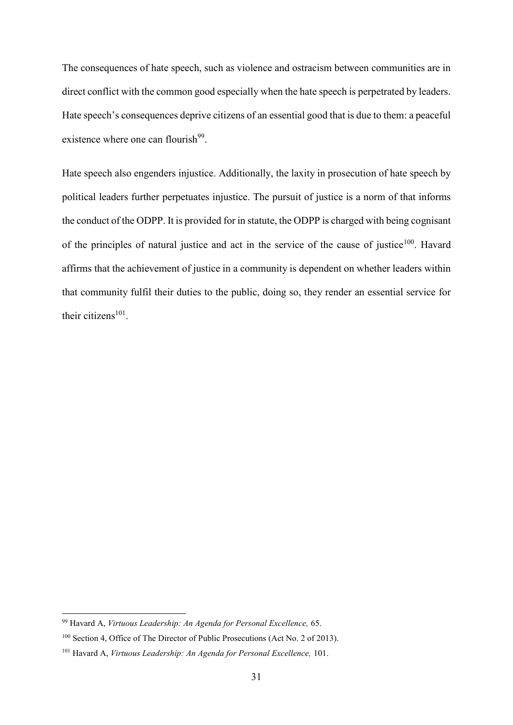The consequences of hate speech, such as violence and ostracism between communities are in direct conflict with the common good especially when the hate speech is perpetrated by leaders. Hate speech's consequences deprive citizens of an essential good that is due to them: a peaceful existence where one can flourish<sup>99</sup>.

Hate speech also engenders injustice. Additionally, the laxity in prosecution of hate speech by political leaders further perpetuates injustice. The pursuit of justice is a norm of that informs the conduct of the ODPP. It is provided for in statute, the ODPP is charged with being cognisant of the principles of natural justice and act in the service of the cause of justice<sup>100</sup>. Havard affirms that the achievement of justice in a community is dependent on whether leaders within that community fulfil their duties to the public, doing so, they render an essential service for their citizens $101$ .

<sup>99</sup> Havard A, *Virtuous Leadership: An Agenda for Personal Excellence,* 65.

<sup>100</sup> Section 4, Office of The Director of Public Prosecutions (Act No. 2 of 2013).

<sup>101</sup> Havard A, *Virtuous Leadership: An Agenda for Personal Excellence,* 101.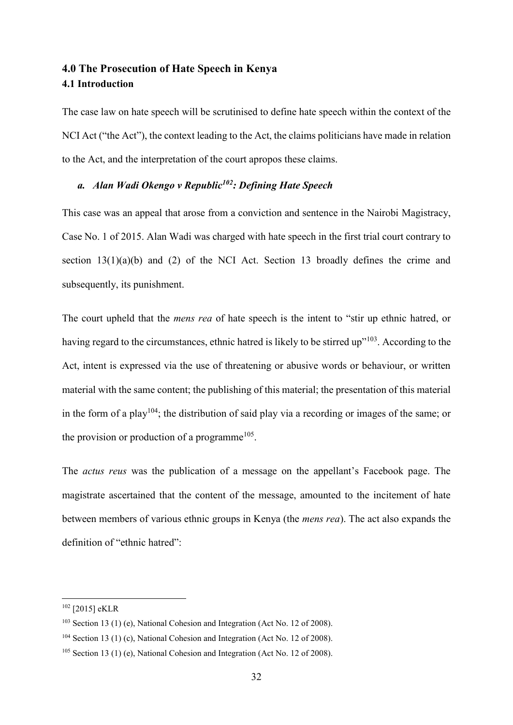# <span id="page-31-1"></span><span id="page-31-0"></span>**4.0 The Prosecution of Hate Speech in Kenya 4.1 Introduction**

The case law on hate speech will be scrutinised to define hate speech within the context of the NCI Act ("the Act"), the context leading to the Act, the claims politicians have made in relation to the Act, and the interpretation of the court apropos these claims.

# <span id="page-31-2"></span>*a. Alan Wadi Okengo v Republic<sup>102</sup>: Defining Hate Speech*

This case was an appeal that arose from a conviction and sentence in the Nairobi Magistracy, Case No. 1 of 2015. Alan Wadi was charged with hate speech in the first trial court contrary to section  $13(1)(a)(b)$  and (2) of the NCI Act. Section 13 broadly defines the crime and subsequently, its punishment.

The court upheld that the *mens rea* of hate speech is the intent to "stir up ethnic hatred, or having regard to the circumstances, ethnic hatred is likely to be stirred up"<sup>103</sup>. According to the Act, intent is expressed via the use of threatening or abusive words or behaviour, or written material with the same content; the publishing of this material; the presentation of this material in the form of a play<sup>104</sup>; the distribution of said play via a recording or images of the same; or the provision or production of a programme<sup>105</sup>.

The *actus reus* was the publication of a message on the appellant's Facebook page. The magistrate ascertained that the content of the message, amounted to the incitement of hate between members of various ethnic groups in Kenya (the *mens rea*). The act also expands the definition of "ethnic hatred":

<sup>102</sup> [2015] eKLR

 $103$  Section 13 (1) (e), National Cohesion and Integration (Act No. 12 of 2008).

 $104$  Section 13 (1) (c), National Cohesion and Integration (Act No. 12 of 2008).

<sup>&</sup>lt;sup>105</sup> Section 13 (1) (e), National Cohesion and Integration (Act No. 12 of 2008).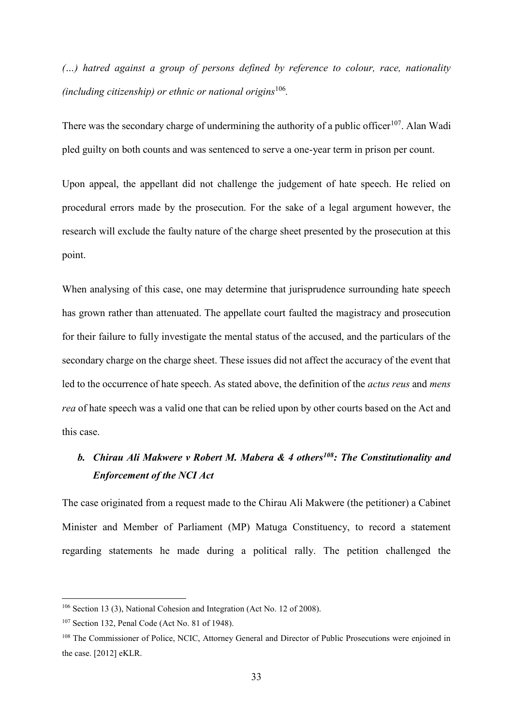*(…) hatred against a group of persons defined by reference to colour, race, nationality (including citizenship) or ethnic or national origins*<sup>106</sup> *.*

There was the secondary charge of undermining the authority of a public officer<sup>107</sup>. Alan Wadi pled guilty on both counts and was sentenced to serve a one-year term in prison per count.

Upon appeal, the appellant did not challenge the judgement of hate speech. He relied on procedural errors made by the prosecution. For the sake of a legal argument however, the research will exclude the faulty nature of the charge sheet presented by the prosecution at this point.

When analysing of this case, one may determine that jurisprudence surrounding hate speech has grown rather than attenuated. The appellate court faulted the magistracy and prosecution for their failure to fully investigate the mental status of the accused, and the particulars of the secondary charge on the charge sheet. These issues did not affect the accuracy of the event that led to the occurrence of hate speech. As stated above, the definition of the *actus reus* and *mens rea* of hate speech was a valid one that can be relied upon by other courts based on the Act and this case.

# <span id="page-32-0"></span>*b. Chirau Ali Makwere v Robert M. Mabera & 4 others<sup>108</sup>: The Constitutionality and Enforcement of the NCI Act*

The case originated from a request made to the Chirau Ali Makwere (the petitioner) a Cabinet Minister and Member of Parliament (MP) Matuga Constituency, to record a statement regarding statements he made during a political rally. The petition challenged the

<sup>106</sup> Section 13 (3), National Cohesion and Integration (Act No. 12 of 2008).

<sup>107</sup> Section 132, Penal Code (Act No. 81 of 1948).

<sup>&</sup>lt;sup>108</sup> The Commissioner of Police, NCIC, Attorney General and Director of Public Prosecutions were enjoined in the case. [2012] eKLR.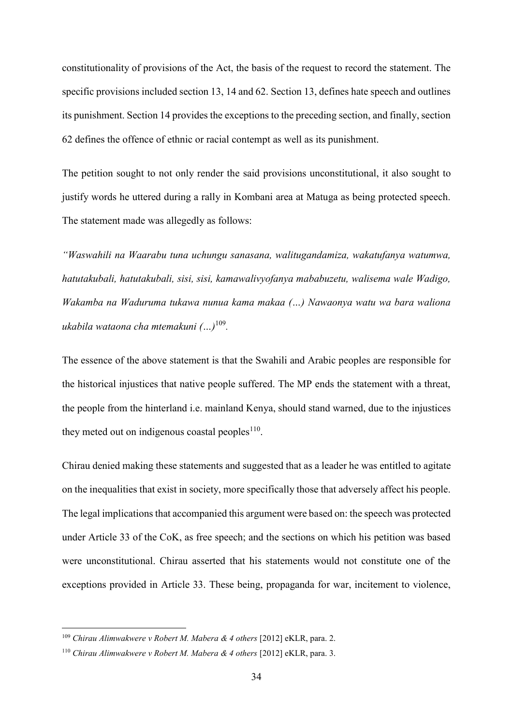constitutionality of provisions of the Act, the basis of the request to record the statement. The specific provisions included section 13, 14 and 62. Section 13, defines hate speech and outlines its punishment. Section 14 provides the exceptions to the preceding section, and finally, section 62 defines the offence of ethnic or racial contempt as well as its punishment.

The petition sought to not only render the said provisions unconstitutional, it also sought to justify words he uttered during a rally in Kombani area at Matuga as being protected speech. The statement made was allegedly as follows:

*"Waswahili na Waarabu tuna uchungu sanasana, walitugandamiza, wakatufanya watumwa, hatutakubali, hatutakubali, sisi, sisi, kamawalivyofanya mababuzetu, walisema wale Wadigo, Wakamba na Waduruma tukawa nunua kama makaa (…) Nawaonya watu wa bara waliona ukabila wataona cha mtemakuni (…)*<sup>109</sup> *.*

The essence of the above statement is that the Swahili and Arabic peoples are responsible for the historical injustices that native people suffered. The MP ends the statement with a threat, the people from the hinterland i.e. mainland Kenya, should stand warned, due to the injustices they meted out on indigenous coastal peoples $110$ .

Chirau denied making these statements and suggested that as a leader he was entitled to agitate on the inequalities that exist in society, more specifically those that adversely affect his people. The legal implications that accompanied this argument were based on: the speech was protected under Article 33 of the CoK, as free speech; and the sections on which his petition was based were unconstitutional. Chirau asserted that his statements would not constitute one of the exceptions provided in Article 33. These being, propaganda for war, incitement to violence,

<sup>109</sup> *Chirau Alimwakwere v Robert M. Mabera & 4 others* [2012] eKLR, para. 2.

<sup>110</sup> *Chirau Alimwakwere v Robert M. Mabera & 4 others* [2012] eKLR, para. 3.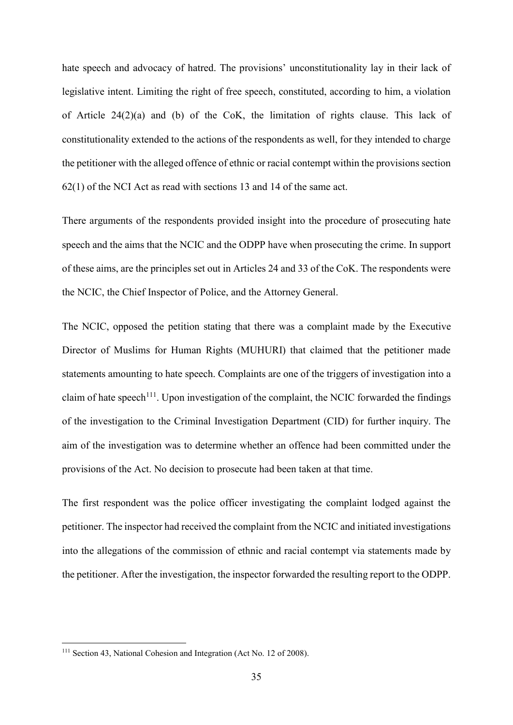hate speech and advocacy of hatred. The provisions' unconstitutionality lay in their lack of legislative intent. Limiting the right of free speech, constituted, according to him, a violation of Article 24(2)(a) and (b) of the CoK, the limitation of rights clause. This lack of constitutionality extended to the actions of the respondents as well, for they intended to charge the petitioner with the alleged offence of ethnic or racial contempt within the provisions section 62(1) of the NCI Act as read with sections 13 and 14 of the same act.

There arguments of the respondents provided insight into the procedure of prosecuting hate speech and the aims that the NCIC and the ODPP have when prosecuting the crime. In support of these aims, are the principles set out in Articles 24 and 33 of the CoK. The respondents were the NCIC, the Chief Inspector of Police, and the Attorney General.

The NCIC, opposed the petition stating that there was a complaint made by the Executive Director of Muslims for Human Rights (MUHURI) that claimed that the petitioner made statements amounting to hate speech. Complaints are one of the triggers of investigation into a claim of hate speech<sup>111</sup>. Upon investigation of the complaint, the NCIC forwarded the findings of the investigation to the Criminal Investigation Department (CID) for further inquiry. The aim of the investigation was to determine whether an offence had been committed under the provisions of the Act. No decision to prosecute had been taken at that time.

The first respondent was the police officer investigating the complaint lodged against the petitioner. The inspector had received the complaint from the NCIC and initiated investigations into the allegations of the commission of ethnic and racial contempt via statements made by the petitioner. After the investigation, the inspector forwarded the resulting report to the ODPP.

<sup>111</sup> Section 43, National Cohesion and Integration (Act No. 12 of 2008).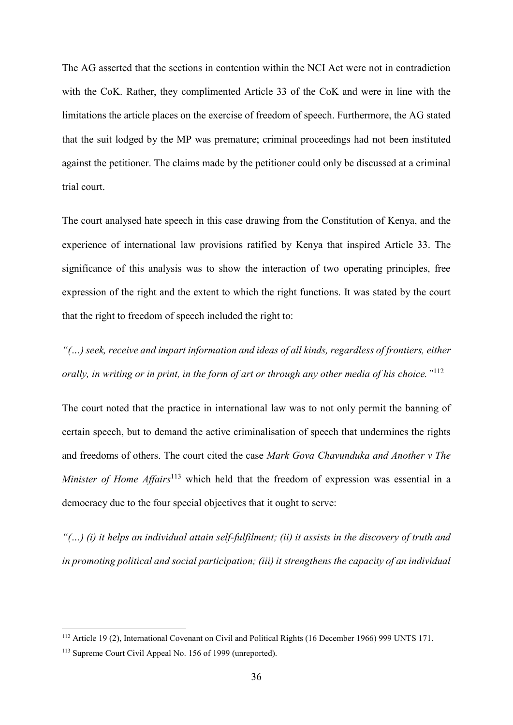The AG asserted that the sections in contention within the NCI Act were not in contradiction with the CoK. Rather, they complimented Article 33 of the CoK and were in line with the limitations the article places on the exercise of freedom of speech. Furthermore, the AG stated that the suit lodged by the MP was premature; criminal proceedings had not been instituted against the petitioner. The claims made by the petitioner could only be discussed at a criminal trial court.

The court analysed hate speech in this case drawing from the Constitution of Kenya, and the experience of international law provisions ratified by Kenya that inspired Article 33. The significance of this analysis was to show the interaction of two operating principles, free expression of the right and the extent to which the right functions. It was stated by the court that the right to freedom of speech included the right to:

*"(…) seek, receive and impart information and ideas of all kinds, regardless of frontiers, either orally, in writing or in print, in the form of art or through any other media of his choice."*<sup>112</sup>

The court noted that the practice in international law was to not only permit the banning of certain speech, but to demand the active criminalisation of speech that undermines the rights and freedoms of others. The court cited the case *Mark Gova Chavunduka and Another v The Minister of Home Affairs*<sup>113</sup> which held that the freedom of expression was essential in a democracy due to the four special objectives that it ought to serve:

*"(…) (i) it helps an individual attain self-fulfilment; (ii) it assists in the discovery of truth and in promoting political and social participation; (iii) it strengthens the capacity of an individual* 

<sup>112</sup> Article 19 (2), International Covenant on Civil and Political Rights (16 December 1966) 999 UNTS 171.

<sup>113</sup> Supreme Court Civil Appeal No. 156 of 1999 (unreported).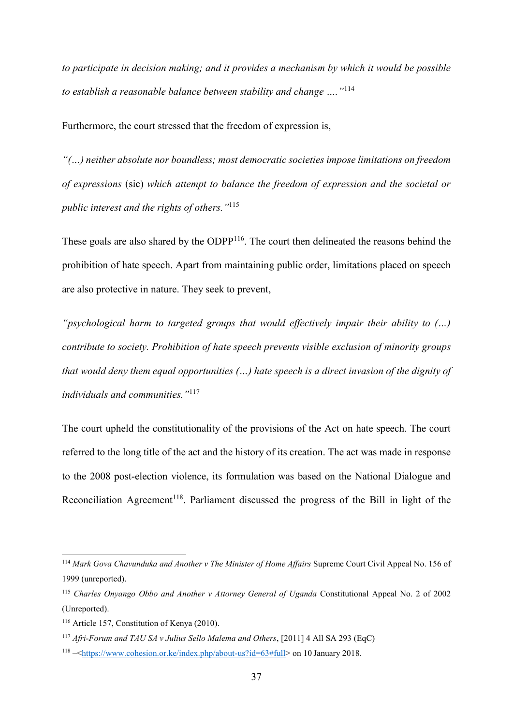*to participate in decision making; and it provides a mechanism by which it would be possible to establish a reasonable balance between stability and change …."*<sup>114</sup>

Furthermore, the court stressed that the freedom of expression is,

*"(…) neither absolute nor boundless; most democratic societies impose limitations on freedom of expressions* (sic) *which attempt to balance the freedom of expression and the societal or public interest and the rights of others."* 115

These goals are also shared by the ODPP<sup>116</sup>. The court then delineated the reasons behind the prohibition of hate speech. Apart from maintaining public order, limitations placed on speech are also protective in nature. They seek to prevent,

*"psychological harm to targeted groups that would effectively impair their ability to (…) contribute to society. Prohibition of hate speech prevents visible exclusion of minority groups that would deny them equal opportunities (…) hate speech is a direct invasion of the dignity of individuals and communities."*<sup>117</sup>

The court upheld the constitutionality of the provisions of the Act on hate speech. The court referred to the long title of the act and the history of its creation. The act was made in response to the 2008 post-election violence, its formulation was based on the National Dialogue and Reconciliation Agreement<sup>118</sup>. Parliament discussed the progress of the Bill in light of the

<sup>&</sup>lt;sup>114</sup> Mark Gova Chavunduka and Another v The Minister of Home Affairs Supreme Court Civil Appeal No. 156 of 1999 (unreported).

<sup>115</sup> *Charles Onyango Obbo and Another v Attorney General of Uganda* Constitutional Appeal No. 2 of 2002 (Unreported).

<sup>116</sup> Article 157, Constitution of Kenya (2010).

<sup>117</sup> *Afri-Forum and TAU SA v Julius Sello Malema and Others*, [2011] 4 All SA 293 (EqC)

<sup>118</sup> –[<https://www.cohesion.or.ke/index.php/about-us?id=63#full>](https://www.cohesion.or.ke/index.php/about-us?id=63#full) on 10 January 2018.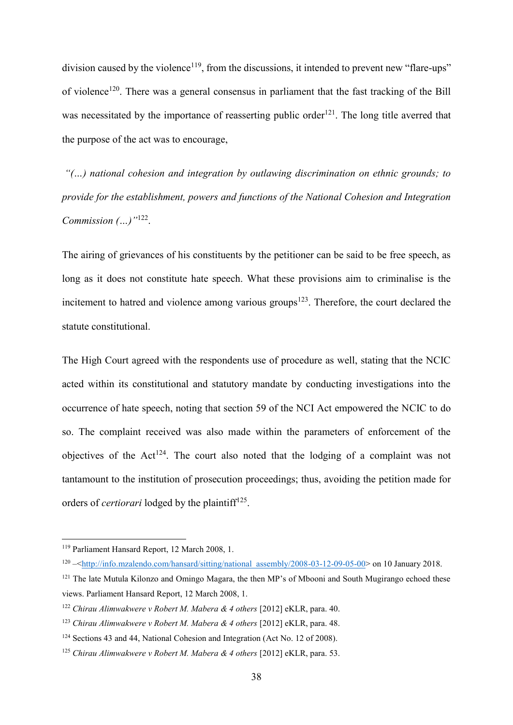division caused by the violence<sup>119</sup>, from the discussions, it intended to prevent new "flare-ups" of violence<sup>120</sup>. There was a general consensus in parliament that the fast tracking of the Bill was necessitated by the importance of reasserting public order<sup>121</sup>. The long title averred that the purpose of the act was to encourage,

*"(…) national cohesion and integration by outlawing discrimination on ethnic grounds; to provide for the establishment, powers and functions of the National Cohesion and Integration Commission (…)"*<sup>122</sup> .

The airing of grievances of his constituents by the petitioner can be said to be free speech, as long as it does not constitute hate speech. What these provisions aim to criminalise is the incitement to hatred and violence among various groups<sup>123</sup>. Therefore, the court declared the statute constitutional.

The High Court agreed with the respondents use of procedure as well, stating that the NCIC acted within its constitutional and statutory mandate by conducting investigations into the occurrence of hate speech, noting that section 59 of the NCI Act empowered the NCIC to do so. The complaint received was also made within the parameters of enforcement of the objectives of the  $Act^{124}$ . The court also noted that the lodging of a complaint was not tantamount to the institution of prosecution proceedings; thus, avoiding the petition made for orders of *certiorari* lodged by the plaintiff<sup>125</sup>.

<sup>119</sup> Parliament Hansard Report, 12 March 2008, 1.

 $120 - \frac{\text{http://info.mzalendo.com/hansard/sitting/national-assemblv/2008-03-12-09-05-00> \text{on} 10 January 2018.}{}$ 

<sup>&</sup>lt;sup>121</sup> The late Mutula Kilonzo and Omingo Magara, the then MP's of Mbooni and South Mugirango echoed these views. Parliament Hansard Report, 12 March 2008, 1.

<sup>122</sup> *Chirau Alimwakwere v Robert M. Mabera & 4 others* [2012] eKLR, para. 40.

<sup>123</sup> *Chirau Alimwakwere v Robert M. Mabera & 4 others* [2012] eKLR, para. 48.

<sup>124</sup> Sections 43 and 44, National Cohesion and Integration (Act No. 12 of 2008).

<sup>125</sup> *Chirau Alimwakwere v Robert M. Mabera & 4 others* [2012] eKLR, para. 53.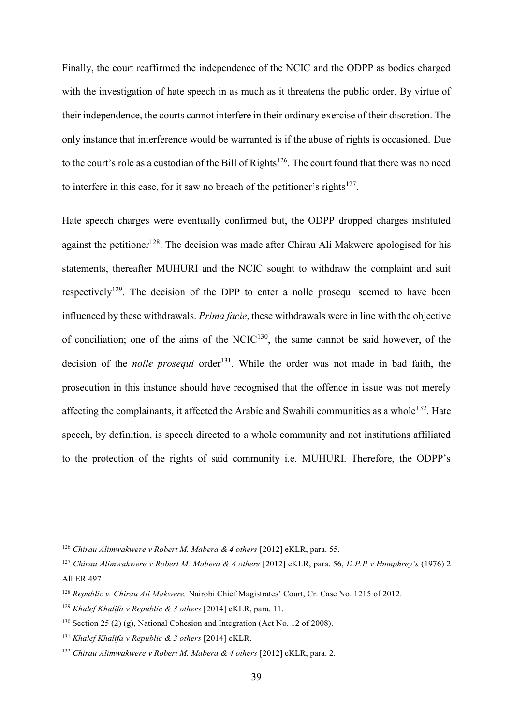Finally, the court reaffirmed the independence of the NCIC and the ODPP as bodies charged with the investigation of hate speech in as much as it threatens the public order. By virtue of their independence, the courts cannot interfere in their ordinary exercise of their discretion. The only instance that interference would be warranted is if the abuse of rights is occasioned. Due to the court's role as a custodian of the Bill of Rights<sup>126</sup>. The court found that there was no need to interfere in this case, for it saw no breach of the petitioner's rights $127$ .

Hate speech charges were eventually confirmed but, the ODPP dropped charges instituted against the petitioner<sup>128</sup>. The decision was made after Chirau Ali Makwere apologised for his statements, thereafter MUHURI and the NCIC sought to withdraw the complaint and suit respectively<sup>129</sup>. The decision of the DPP to enter a nolle prosequi seemed to have been influenced by these withdrawals. *Prima facie*, these withdrawals were in line with the objective of conciliation; one of the aims of the NCIC $130$ , the same cannot be said however, of the decision of the *nolle prosequi* order<sup>131</sup>. While the order was not made in bad faith, the prosecution in this instance should have recognised that the offence in issue was not merely affecting the complainants, it affected the Arabic and Swahili communities as a whole<sup>132</sup>. Hate speech, by definition, is speech directed to a whole community and not institutions affiliated to the protection of the rights of said community i.e. MUHURI. Therefore, the ODPP's

<sup>126</sup> *Chirau Alimwakwere v Robert M. Mabera & 4 others* [2012] eKLR, para. 55.

<sup>127</sup> *Chirau Alimwakwere v Robert M. Mabera & 4 others* [2012] eKLR, para. 56, *D.P.P v Humphrey's* (1976) 2 All ER 497

<sup>128</sup> *Republic v. Chirau Ali Makwere,* Nairobi Chief Magistrates' Court, Cr. Case No. 1215 of 2012.

<sup>129</sup> *Khalef Khalifa v Republic & 3 others* [2014] eKLR, para. 11.

<sup>&</sup>lt;sup>130</sup> Section 25 (2) (g), National Cohesion and Integration (Act No. 12 of 2008).

<sup>131</sup> *Khalef Khalifa v Republic & 3 others* [2014] eKLR.

<sup>132</sup> *Chirau Alimwakwere v Robert M. Mabera & 4 others* [2012] eKLR, para. 2.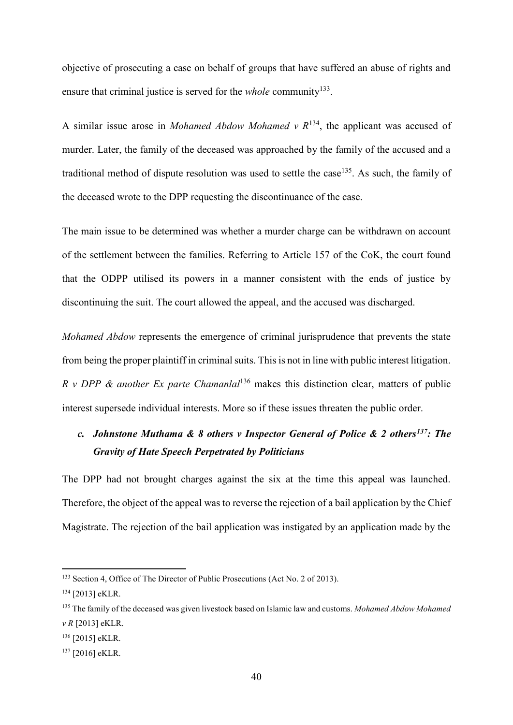objective of prosecuting a case on behalf of groups that have suffered an abuse of rights and ensure that criminal justice is served for the *whole* community<sup>133</sup>.

A similar issue arose in *Mohamed Abdow Mohamed v R*<sup>134</sup>, the applicant was accused of murder. Later, the family of the deceased was approached by the family of the accused and a traditional method of dispute resolution was used to settle the case<sup>135</sup>. As such, the family of the deceased wrote to the DPP requesting the discontinuance of the case.

The main issue to be determined was whether a murder charge can be withdrawn on account of the settlement between the families. Referring to Article 157 of the CoK, the court found that the ODPP utilised its powers in a manner consistent with the ends of justice by discontinuing the suit. The court allowed the appeal, and the accused was discharged.

*Mohamed Abdow* represents the emergence of criminal jurisprudence that prevents the state from being the proper plaintiff in criminal suits. This is not in line with public interest litigation. *R v DPP & another Ex parte Chamanlal*<sup>136</sup> makes this distinction clear, matters of public interest supersede individual interests. More so if these issues threaten the public order.

# <span id="page-39-0"></span>*c. Johnstone Muthama & 8 others v Inspector General of Police & 2 others<sup>137</sup>: The Gravity of Hate Speech Perpetrated by Politicians*

The DPP had not brought charges against the six at the time this appeal was launched. Therefore, the object of the appeal was to reverse the rejection of a bail application by the Chief Magistrate. The rejection of the bail application was instigated by an application made by the

<sup>133</sup> Section 4, Office of The Director of Public Prosecutions (Act No. 2 of 2013).

<sup>134</sup> [2013] eKLR.

<sup>135</sup> The family of the deceased was given livestock based on Islamic law and customs. *Mohamed Abdow Mohamed v R* [2013] eKLR.

<sup>136</sup> [2015] eKLR.

<sup>137</sup> [2016] eKLR.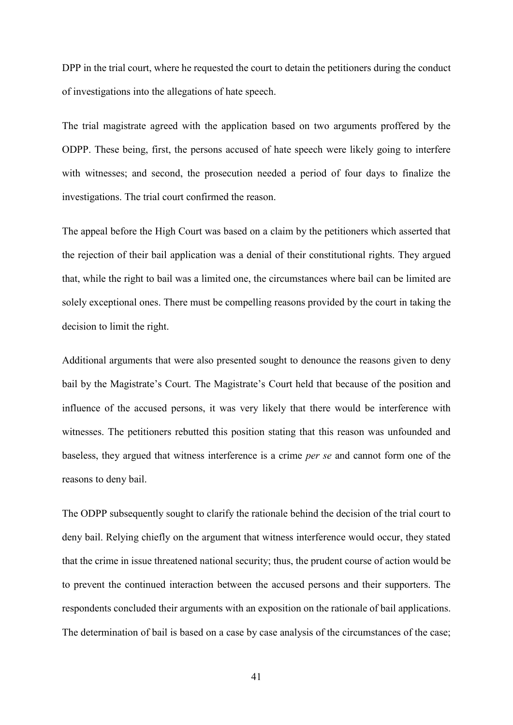DPP in the trial court, where he requested the court to detain the petitioners during the conduct of investigations into the allegations of hate speech.

The trial magistrate agreed with the application based on two arguments proffered by the ODPP. These being, first, the persons accused of hate speech were likely going to interfere with witnesses; and second, the prosecution needed a period of four days to finalize the investigations. The trial court confirmed the reason.

The appeal before the High Court was based on a claim by the petitioners which asserted that the rejection of their bail application was a denial of their constitutional rights. They argued that, while the right to bail was a limited one, the circumstances where bail can be limited are solely exceptional ones. There must be compelling reasons provided by the court in taking the decision to limit the right.

Additional arguments that were also presented sought to denounce the reasons given to deny bail by the Magistrate's Court. The Magistrate's Court held that because of the position and influence of the accused persons, it was very likely that there would be interference with witnesses. The petitioners rebutted this position stating that this reason was unfounded and baseless, they argued that witness interference is a crime *per se* and cannot form one of the reasons to deny bail.

The ODPP subsequently sought to clarify the rationale behind the decision of the trial court to deny bail. Relying chiefly on the argument that witness interference would occur, they stated that the crime in issue threatened national security; thus, the prudent course of action would be to prevent the continued interaction between the accused persons and their supporters. The respondents concluded their arguments with an exposition on the rationale of bail applications. The determination of bail is based on a case by case analysis of the circumstances of the case;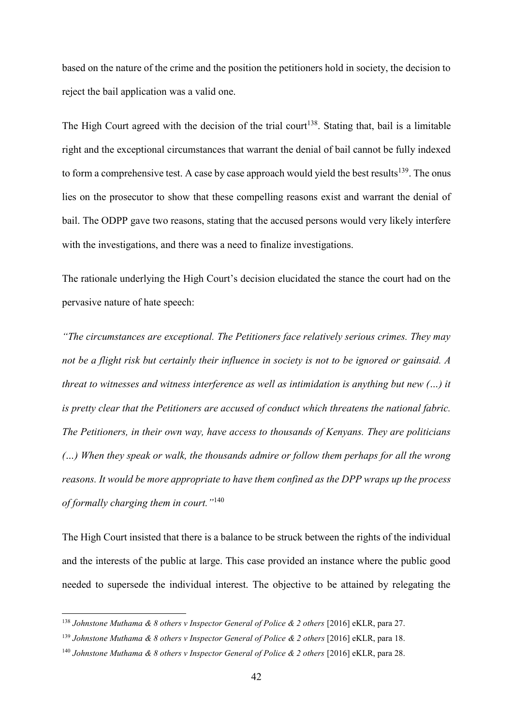based on the nature of the crime and the position the petitioners hold in society, the decision to reject the bail application was a valid one.

The High Court agreed with the decision of the trial court<sup>138</sup>. Stating that, bail is a limitable right and the exceptional circumstances that warrant the denial of bail cannot be fully indexed to form a comprehensive test. A case by case approach would yield the best results<sup>139</sup>. The onus lies on the prosecutor to show that these compelling reasons exist and warrant the denial of bail. The ODPP gave two reasons, stating that the accused persons would very likely interfere with the investigations, and there was a need to finalize investigations.

The rationale underlying the High Court's decision elucidated the stance the court had on the pervasive nature of hate speech:

*"The circumstances are exceptional. The Petitioners face relatively serious crimes. They may not be a flight risk but certainly their influence in society is not to be ignored or gainsaid. A threat to witnesses and witness interference as well as intimidation is anything but new (…) it is pretty clear that the Petitioners are accused of conduct which threatens the national fabric. The Petitioners, in their own way, have access to thousands of Kenyans. They are politicians (…) When they speak or walk, the thousands admire or follow them perhaps for all the wrong reasons. It would be more appropriate to have them confined as the DPP wraps up the process of formally charging them in court."*<sup>140</sup>

The High Court insisted that there is a balance to be struck between the rights of the individual and the interests of the public at large. This case provided an instance where the public good needed to supersede the individual interest. The objective to be attained by relegating the

<sup>&</sup>lt;sup>138</sup> Johnstone Muthama & 8 others v Inspector General of Police & 2 others [2016] eKLR, para 27.

<sup>&</sup>lt;sup>139</sup> Johnstone Muthama & 8 others v Inspector General of Police & 2 others [2016] eKLR, para 18.

<sup>140</sup> *Johnstone Muthama & 8 others v Inspector General of Police & 2 others* [2016] eKLR, para 28.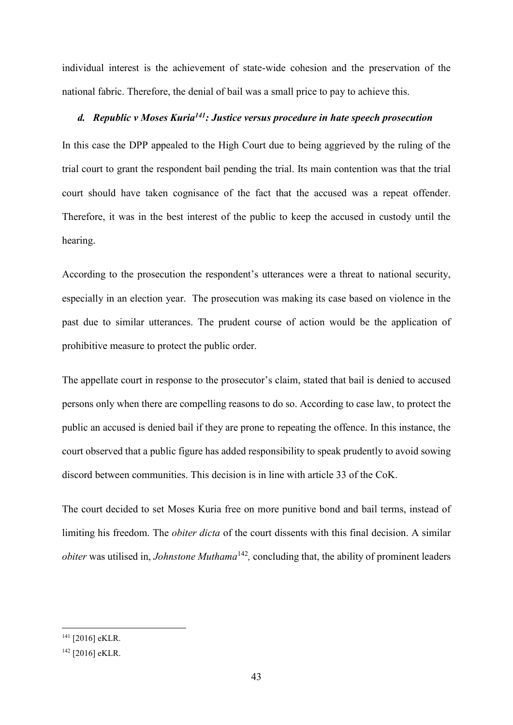individual interest is the achievement of state-wide cohesion and the preservation of the national fabric. Therefore, the denial of bail was a small price to pay to achieve this.

# <span id="page-42-0"></span>*d. Republic v Moses Kuria<sup>141</sup>: Justice versus procedure in hate speech prosecution*

In this case the DPP appealed to the High Court due to being aggrieved by the ruling of the trial court to grant the respondent bail pending the trial. Its main contention was that the trial court should have taken cognisance of the fact that the accused was a repeat offender. Therefore, it was in the best interest of the public to keep the accused in custody until the hearing.

According to the prosecution the respondent's utterances were a threat to national security, especially in an election year. The prosecution was making its case based on violence in the past due to similar utterances. The prudent course of action would be the application of prohibitive measure to protect the public order.

The appellate court in response to the prosecutor's claim, stated that bail is denied to accused persons only when there are compelling reasons to do so. According to case law, to protect the public an accused is denied bail if they are prone to repeating the offence. In this instance, the court observed that a public figure has added responsibility to speak prudently to avoid sowing discord between communities. This decision is in line with article 33 of the CoK.

The court decided to set Moses Kuria free on more punitive bond and bail terms, instead of limiting his freedom. The *obiter dicta* of the court dissents with this final decision. A similar *obiter* was utilised in, *Johnstone Muthama*<sup>142</sup>, concluding that, the ability of prominent leaders

<sup>141</sup> [2016] eKLR.

<sup>142</sup> [2016] eKLR.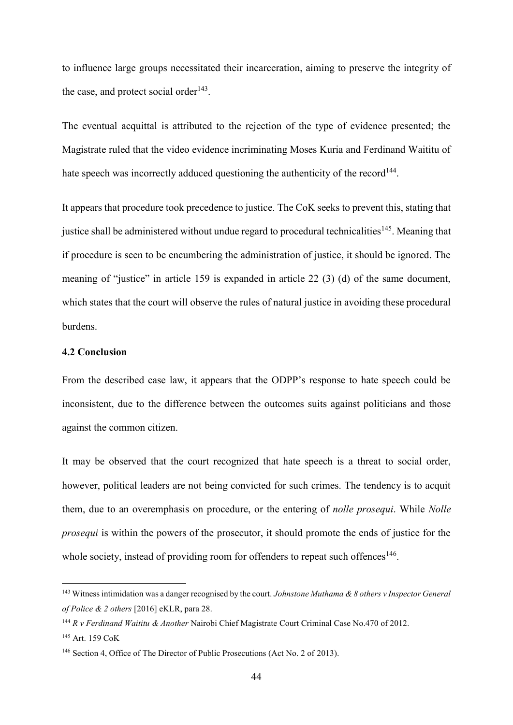to influence large groups necessitated their incarceration, aiming to preserve the integrity of the case, and protect social order<sup>143</sup>.

The eventual acquittal is attributed to the rejection of the type of evidence presented; the Magistrate ruled that the video evidence incriminating Moses Kuria and Ferdinand Waititu of hate speech was incorrectly adduced questioning the authenticity of the record<sup>144</sup>.

It appears that procedure took precedence to justice. The CoK seeks to prevent this, stating that justice shall be administered without undue regard to procedural technicalities<sup>145</sup>. Meaning that if procedure is seen to be encumbering the administration of justice, it should be ignored. The meaning of "justice" in article 159 is expanded in article 22 (3) (d) of the same document, which states that the court will observe the rules of natural justice in avoiding these procedural burdens.

## <span id="page-43-0"></span>**4.2 Conclusion**

From the described case law, it appears that the ODPP's response to hate speech could be inconsistent, due to the difference between the outcomes suits against politicians and those against the common citizen.

It may be observed that the court recognized that hate speech is a threat to social order, however, political leaders are not being convicted for such crimes. The tendency is to acquit them, due to an overemphasis on procedure, or the entering of *nolle prosequi*. While *Nolle prosequi* is within the powers of the prosecutor, it should promote the ends of justice for the whole society, instead of providing room for offenders to repeat such offences<sup>146</sup>.

<sup>143</sup> Witness intimidation was a danger recognised by the court. *Johnstone Muthama & 8 others v Inspector General of Police & 2 others* [2016] eKLR, para 28.

<sup>144</sup> *R v Ferdinand Waititu & Another* Nairobi Chief Magistrate Court Criminal Case No.470 of 2012*.*

<sup>145</sup> Art. 159 CoK

<sup>146</sup> Section 4, Office of The Director of Public Prosecutions (Act No. 2 of 2013).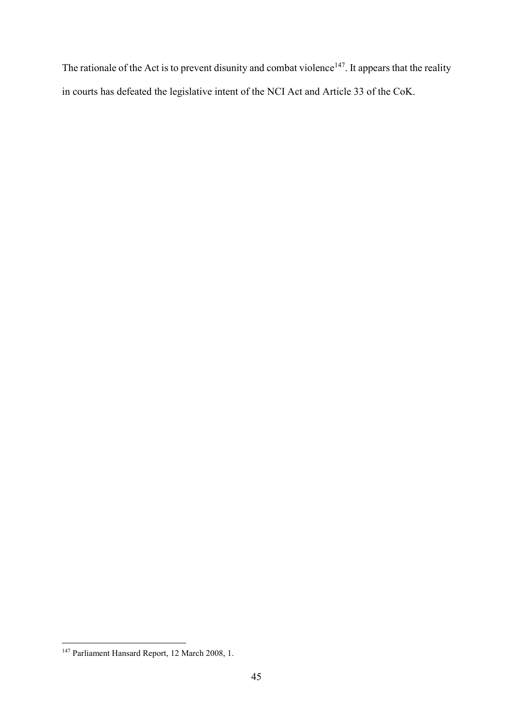The rationale of the Act is to prevent disunity and combat violence<sup>147</sup>. It appears that the reality in courts has defeated the legislative intent of the NCI Act and Article 33 of the CoK.

<sup>1</sup> <sup>147</sup> Parliament Hansard Report, 12 March 2008, 1.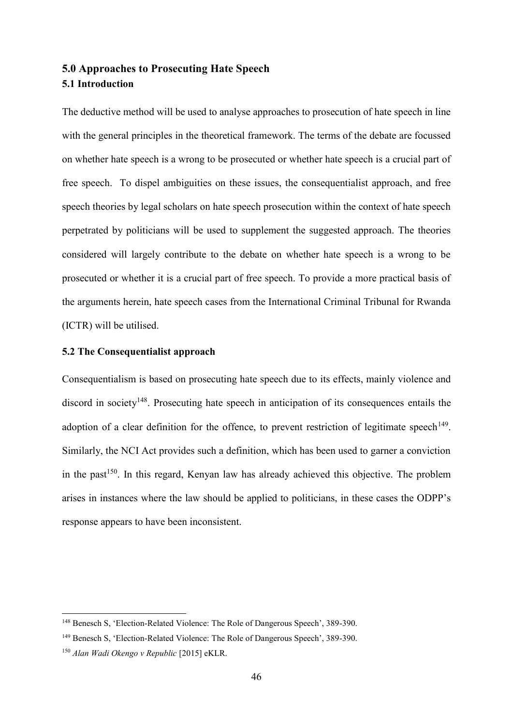# <span id="page-45-1"></span><span id="page-45-0"></span>**5.0 Approaches to Prosecuting Hate Speech 5.1 Introduction**

The deductive method will be used to analyse approaches to prosecution of hate speech in line with the general principles in the theoretical framework. The terms of the debate are focussed on whether hate speech is a wrong to be prosecuted or whether hate speech is a crucial part of free speech. To dispel ambiguities on these issues, the consequentialist approach, and free speech theories by legal scholars on hate speech prosecution within the context of hate speech perpetrated by politicians will be used to supplement the suggested approach. The theories considered will largely contribute to the debate on whether hate speech is a wrong to be prosecuted or whether it is a crucial part of free speech. To provide a more practical basis of the arguments herein, hate speech cases from the International Criminal Tribunal for Rwanda (ICTR) will be utilised.

## <span id="page-45-2"></span>**5.2 The Consequentialist approach**

Consequentialism is based on prosecuting hate speech due to its effects, mainly violence and discord in society<sup>148</sup>. Prosecuting hate speech in anticipation of its consequences entails the adoption of a clear definition for the offence, to prevent restriction of legitimate speech<sup>149</sup>. Similarly, the NCI Act provides such a definition, which has been used to garner a conviction in the past<sup>150</sup>. In this regard, Kenyan law has already achieved this objective. The problem arises in instances where the law should be applied to politicians, in these cases the ODPP's response appears to have been inconsistent.

<sup>148</sup> Benesch S, 'Election-Related Violence: The Role of Dangerous Speech', 389-390.

<sup>149</sup> Benesch S, 'Election-Related Violence: The Role of Dangerous Speech', 389-390.

<sup>150</sup> *Alan Wadi Okengo v Republic* [2015] eKLR.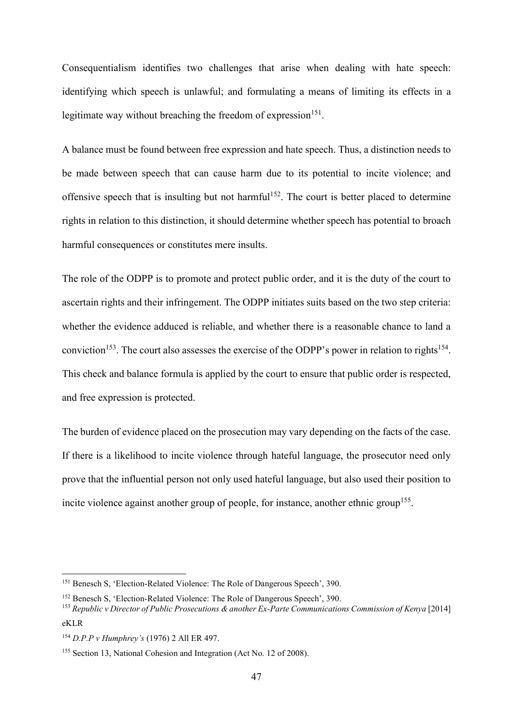Consequentialism identifies two challenges that arise when dealing with hate speech: identifying which speech is unlawful; and formulating a means of limiting its effects in a legitimate way without breaching the freedom of expression<sup>151</sup>.

A balance must be found between free expression and hate speech. Thus, a distinction needs to be made between speech that can cause harm due to its potential to incite violence; and offensive speech that is insulting but not harmful<sup>152</sup>. The court is better placed to determine rights in relation to this distinction, it should determine whether speech has potential to broach harmful consequences or constitutes mere insults.

The role of the ODPP is to promote and protect public order, and it is the duty of the court to ascertain rights and their infringement. The ODPP initiates suits based on the two step criteria: whether the evidence adduced is reliable, and whether there is a reasonable chance to land a conviction<sup>153</sup>. The court also assesses the exercise of the ODPP's power in relation to rights<sup>154</sup>. This check and balance formula is applied by the court to ensure that public order is respected. and free expression is protected.

The burden of evidence placed on the prosecution may vary depending on the facts of the case. If there is a likelihood to incite violence through hateful language, the prosecutor need only prove that the influential person not only used hateful language, but also used their position to incite violence against another group of people, for instance, another ethnic group<sup>155</sup>.

<sup>&</sup>lt;sup>151</sup> Benesch S, 'Election-Related Violence: The Role of Dangerous Speech', 390.

<sup>152</sup> Benesch S, 'Election-Related Violence: The Role of Dangerous Speech', 390.

<sup>&</sup>lt;sup>153</sup> *Republic v Director of Public Prosecutions & another Ex-Parte Communications Commission of Kenya* [2014] eKLR

<sup>154</sup> *D.P.P v Humphrey's* (1976) 2 All ER 497.

<sup>155</sup> Section 13, National Cohesion and Integration (Act No. 12 of 2008).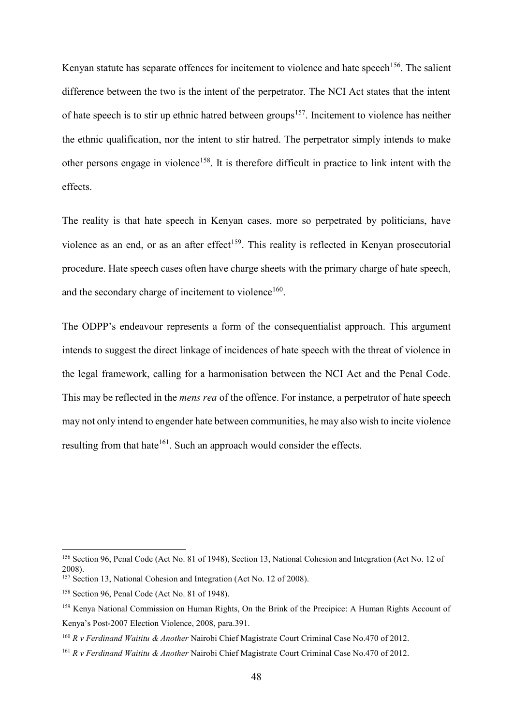Kenyan statute has separate offences for incitement to violence and hate speech<sup>156</sup>. The salient difference between the two is the intent of the perpetrator. The NCI Act states that the intent of hate speech is to stir up ethnic hatred between groups<sup>157</sup>. Incitement to violence has neither the ethnic qualification, nor the intent to stir hatred. The perpetrator simply intends to make other persons engage in violence<sup>158</sup>. It is therefore difficult in practice to link intent with the effects.

The reality is that hate speech in Kenyan cases, more so perpetrated by politicians, have violence as an end, or as an after effect<sup>159</sup>. This reality is reflected in Kenyan prosecutorial procedure. Hate speech cases often have charge sheets with the primary charge of hate speech, and the secondary charge of incitement to violence<sup>160</sup>.

The ODPP's endeavour represents a form of the consequentialist approach. This argument intends to suggest the direct linkage of incidences of hate speech with the threat of violence in the legal framework, calling for a harmonisation between the NCI Act and the Penal Code. This may be reflected in the *mens rea* of the offence. For instance, a perpetrator of hate speech may not only intend to engender hate between communities, he may also wish to incite violence resulting from that hate<sup>161</sup>. Such an approach would consider the effects.

<sup>156</sup> Section 96, Penal Code (Act No. 81 of 1948), Section 13, National Cohesion and Integration (Act No. 12 of 2008).

<sup>157</sup> Section 13, National Cohesion and Integration (Act No. 12 of 2008).

<sup>158</sup> Section 96, Penal Code (Act No. 81 of 1948).

<sup>159</sup> Kenya National Commission on Human Rights, On the Brink of the Precipice: A Human Rights Account of Kenya's Post-2007 Election Violence, 2008, para.391.

<sup>160</sup> *R v Ferdinand Waititu & Another* Nairobi Chief Magistrate Court Criminal Case No.470 of 2012.

<sup>161</sup> *R v Ferdinand Waititu & Another* Nairobi Chief Magistrate Court Criminal Case No.470 of 2012.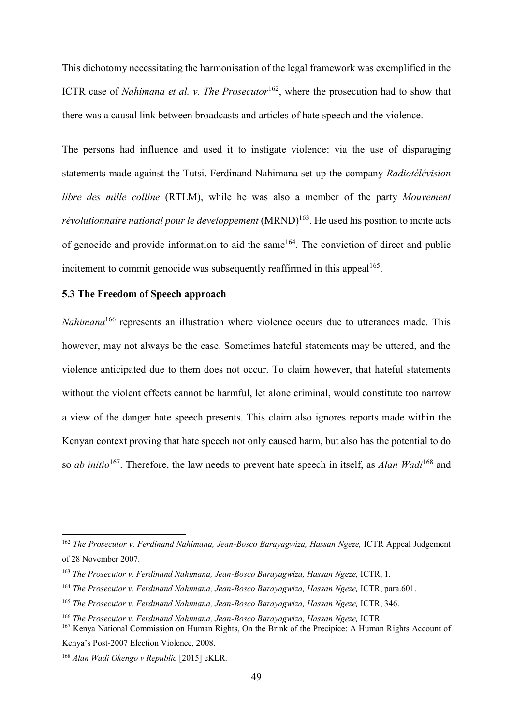This dichotomy necessitating the harmonisation of the legal framework was exemplified in the ICTR case of *Nahimana et al. v. The Prosecutor*<sup>162</sup>, where the prosecution had to show that there was a causal link between broadcasts and articles of hate speech and the violence.

The persons had influence and used it to instigate violence: via the use of disparaging statements made against the Tutsi. Ferdinand Nahimana set up the company *Radiotélévision libre des mille colline* (RTLM), while he was also a member of the party *Mouvement révolutionnaire national pour le développement* (MRND)<sup>163</sup>. He used his position to incite acts of genocide and provide information to aid the same<sup>164</sup>. The conviction of direct and public incitement to commit genocide was subsequently reaffirmed in this appeal<sup>165</sup>.

## <span id="page-48-0"></span>**5.3 The Freedom of Speech approach**

*Nahimana*<sup>166</sup> represents an illustration where violence occurs due to utterances made. This however, may not always be the case. Sometimes hateful statements may be uttered, and the violence anticipated due to them does not occur. To claim however, that hateful statements without the violent effects cannot be harmful, let alone criminal, would constitute too narrow a view of the danger hate speech presents. This claim also ignores reports made within the Kenyan context proving that hate speech not only caused harm, but also has the potential to do so *ab initio*<sup>167</sup>. Therefore, the law needs to prevent hate speech in itself, as *Alan Wadi*<sup>168</sup> and

<sup>162</sup> *The Prosecutor v. Ferdinand Nahimana, Jean-Bosco Barayagwiza, Hassan Ngeze,* ICTR Appeal Judgement of 28 November 2007.

<sup>163</sup> *The Prosecutor v. Ferdinand Nahimana, Jean-Bosco Barayagwiza, Hassan Ngeze,* ICTR, 1.

<sup>&</sup>lt;sup>164</sup> *The Prosecutor v. Ferdinand Nahimana, Jean-Bosco Barayagwiza, Hassan Ngeze, ICTR, para.601.* 

<sup>165</sup> *The Prosecutor v. Ferdinand Nahimana, Jean-Bosco Barayagwiza, Hassan Ngeze,* ICTR, 346.

<sup>166</sup> *The Prosecutor v. Ferdinand Nahimana, Jean-Bosco Barayagwiza, Hassan Ngeze,* ICTR.

<sup>167</sup> Kenya National Commission on Human Rights, On the Brink of the Precipice: A Human Rights Account of Kenya's Post-2007 Election Violence, 2008.

<sup>168</sup> *Alan Wadi Okengo v Republic* [2015] eKLR.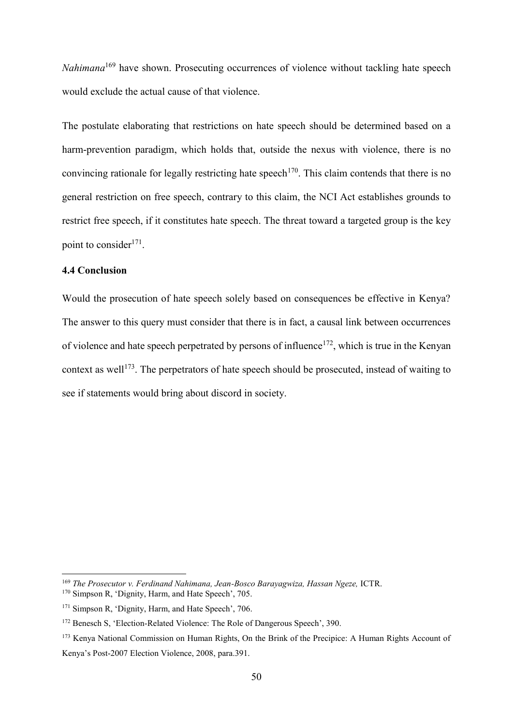*Nahimana*<sup>169</sup> have shown. Prosecuting occurrences of violence without tackling hate speech would exclude the actual cause of that violence.

The postulate elaborating that restrictions on hate speech should be determined based on a harm-prevention paradigm, which holds that, outside the nexus with violence, there is no convincing rationale for legally restricting hate speech<sup>170</sup>. This claim contends that there is no general restriction on free speech, contrary to this claim, the NCI Act establishes grounds to restrict free speech, if it constitutes hate speech. The threat toward a targeted group is the key point to consider<sup>171</sup>.

# <span id="page-49-0"></span>**4.4 Conclusion**

1

Would the prosecution of hate speech solely based on consequences be effective in Kenya? The answer to this query must consider that there is in fact, a causal link between occurrences of violence and hate speech perpetrated by persons of influence<sup>172</sup>, which is true in the Kenyan context as well<sup>173</sup>. The perpetrators of hate speech should be prosecuted, instead of waiting to see if statements would bring about discord in society.

<sup>169</sup> *The Prosecutor v. Ferdinand Nahimana, Jean-Bosco Barayagwiza, Hassan Ngeze,* ICTR.

<sup>170</sup> Simpson R, 'Dignity, Harm, and Hate Speech', 705.

<sup>&</sup>lt;sup>171</sup> Simpson R, 'Dignity, Harm, and Hate Speech', 706.

<sup>172</sup> Benesch S, 'Election-Related Violence: The Role of Dangerous Speech', 390.

<sup>173</sup> Kenya National Commission on Human Rights, On the Brink of the Precipice: A Human Rights Account of Kenya's Post-2007 Election Violence, 2008, para.391.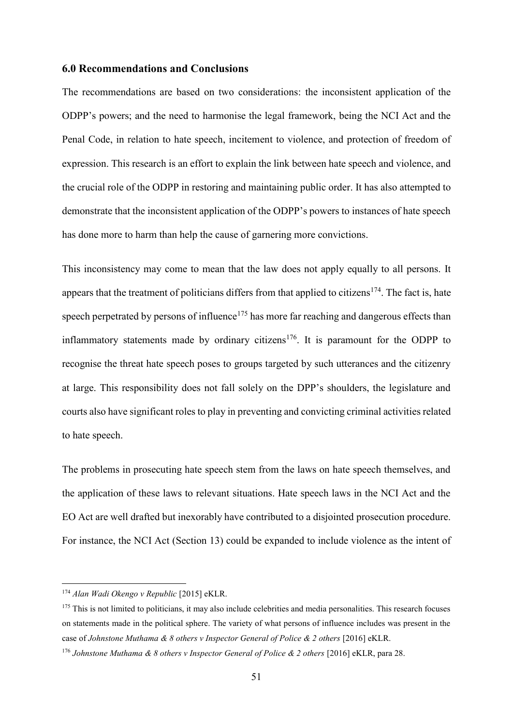## <span id="page-50-0"></span>**6.0 Recommendations and Conclusions**

The recommendations are based on two considerations: the inconsistent application of the ODPP's powers; and the need to harmonise the legal framework, being the NCI Act and the Penal Code, in relation to hate speech, incitement to violence, and protection of freedom of expression. This research is an effort to explain the link between hate speech and violence, and the crucial role of the ODPP in restoring and maintaining public order. It has also attempted to demonstrate that the inconsistent application of the ODPP's powers to instances of hate speech has done more to harm than help the cause of garnering more convictions.

This inconsistency may come to mean that the law does not apply equally to all persons. It appears that the treatment of politicians differs from that applied to citizens<sup>174</sup>. The fact is, hate speech perpetrated by persons of influence<sup> $175$ </sup> has more far reaching and dangerous effects than inflammatory statements made by ordinary citizens<sup>176</sup>. It is paramount for the ODPP to recognise the threat hate speech poses to groups targeted by such utterances and the citizenry at large. This responsibility does not fall solely on the DPP's shoulders, the legislature and courts also have significant roles to play in preventing and convicting criminal activities related to hate speech.

The problems in prosecuting hate speech stem from the laws on hate speech themselves, and the application of these laws to relevant situations. Hate speech laws in the NCI Act and the EO Act are well drafted but inexorably have contributed to a disjointed prosecution procedure. For instance, the NCI Act (Section 13) could be expanded to include violence as the intent of

<sup>174</sup> *Alan Wadi Okengo v Republic* [2015] eKLR.

<sup>&</sup>lt;sup>175</sup> This is not limited to politicians, it may also include celebrities and media personalities. This research focuses on statements made in the political sphere. The variety of what persons of influence includes was present in the case of *Johnstone Muthama & 8 others v Inspector General of Police & 2 others* [2016] eKLR.

<sup>176</sup> *Johnstone Muthama & 8 others v Inspector General of Police & 2 others* [2016] eKLR, para 28.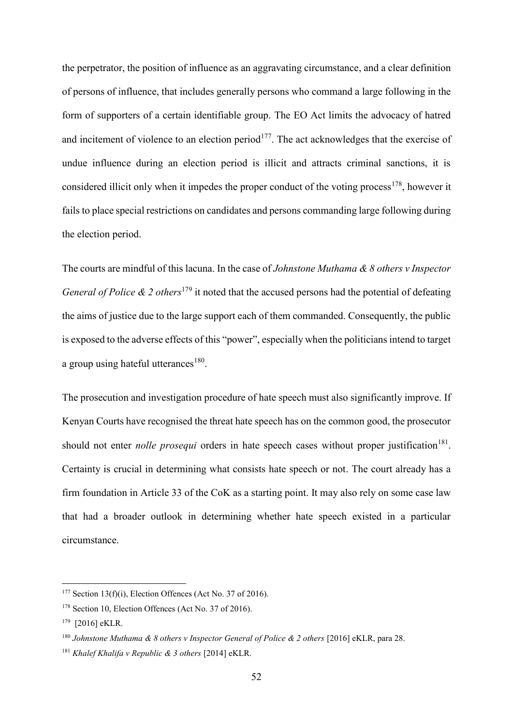the perpetrator, the position of influence as an aggravating circumstance, and a clear definition of persons of influence, that includes generally persons who command a large following in the form of supporters of a certain identifiable group. The EO Act limits the advocacy of hatred and incitement of violence to an election period<sup>177</sup>. The act acknowledges that the exercise of undue influence during an election period is illicit and attracts criminal sanctions, it is considered illicit only when it impedes the proper conduct of the voting process<sup>178</sup>, however it fails to place special restrictions on candidates and persons commanding large following during the election period.

The courts are mindful of this lacuna. In the case of *Johnstone Muthama & 8 others v Inspector General of Police & 2 others*<sup>179</sup> it noted that the accused persons had the potential of defeating the aims of justice due to the large support each of them commanded. Consequently, the public is exposed to the adverse effects of this "power", especially when the politicians intend to target a group using hateful utterances $180$ .

The prosecution and investigation procedure of hate speech must also significantly improve. If Kenyan Courts have recognised the threat hate speech has on the common good, the prosecutor should not enter *nolle prosequi* orders in hate speech cases without proper justification<sup>181</sup>. Certainty is crucial in determining what consists hate speech or not. The court already has a firm foundation in Article 33 of the CoK as a starting point. It may also rely on some case law that had a broader outlook in determining whether hate speech existed in a particular circumstance.

<sup>&</sup>lt;sup>177</sup> Section 13(f)(i), Election Offences (Act No. 37 of 2016).

<sup>&</sup>lt;sup>178</sup> Section 10, Election Offences (Act No. 37 of 2016).

<sup>179</sup> [2016] eKLR.

<sup>&</sup>lt;sup>180</sup> Johnstone Muthama & 8 others v Inspector General of Police & 2 others [2016] eKLR, para 28.

<sup>181</sup> *Khalef Khalifa v Republic & 3 others* [2014] eKLR.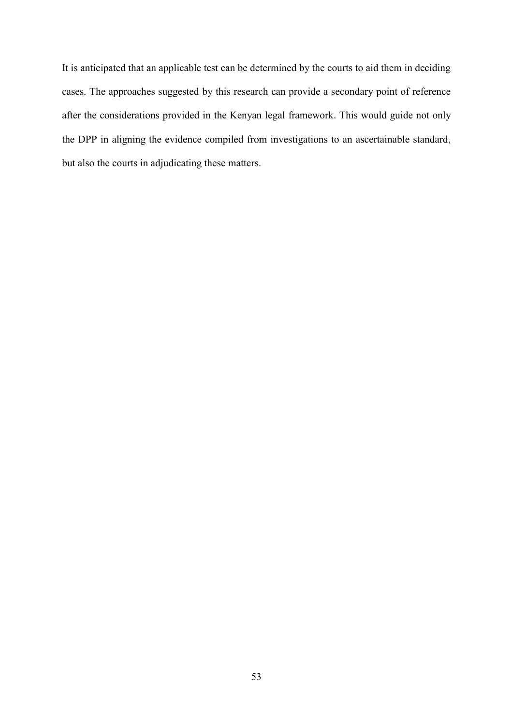It is anticipated that an applicable test can be determined by the courts to aid them in deciding cases. The approaches suggested by this research can provide a secondary point of reference after the considerations provided in the Kenyan legal framework. This would guide not only the DPP in aligning the evidence compiled from investigations to an ascertainable standard, but also the courts in adjudicating these matters.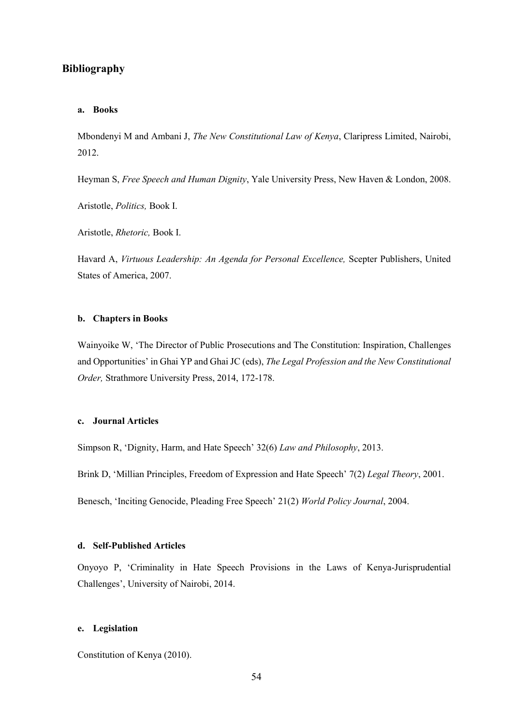# <span id="page-53-0"></span>**Bibliography**

#### **a. Books**

Mbondenyi M and Ambani J, *The New Constitutional Law of Kenya*, Claripress Limited, Nairobi, 2012.

Heyman S, *Free Speech and Human Dignity*, Yale University Press, New Haven & London, 2008.

Aristotle, *Politics,* Book I.

Aristotle, *Rhetoric,* Book I.

Havard A, *Virtuous Leadership: An Agenda for Personal Excellence,* Scepter Publishers, United States of America, 2007.

#### **b. Chapters in Books**

Wainyoike W, 'The Director of Public Prosecutions and The Constitution: Inspiration, Challenges and Opportunities' in Ghai YP and Ghai JC (eds), *The Legal Profession and the New Constitutional Order,* Strathmore University Press, 2014, 172-178.

### **c. Journal Articles**

Simpson R, 'Dignity, Harm, and Hate Speech' 32(6) *Law and Philosophy*, 2013.

Brink D, 'Millian Principles, Freedom of Expression and Hate Speech' 7(2) *Legal Theory*, 2001.

Benesch, 'Inciting Genocide, Pleading Free Speech' 21(2) *World Policy Journal*, 2004.

#### **d. Self-Published Articles**

Onyoyo P, 'Criminality in Hate Speech Provisions in the Laws of Kenya-Jurisprudential Challenges', University of Nairobi, 2014.

### **e. Legislation**

Constitution of Kenya (2010).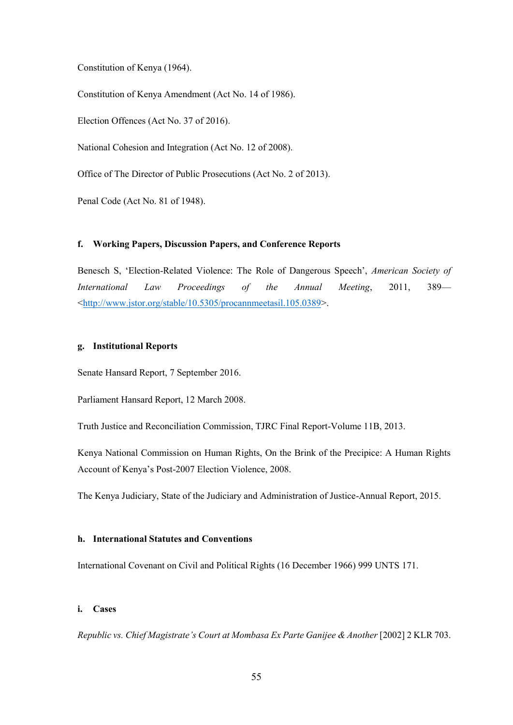Constitution of Kenya (1964).

Constitution of Kenya Amendment (Act No. 14 of 1986).

Election Offences (Act No. 37 of 2016).

National Cohesion and Integration (Act No. 12 of 2008).

Office of The Director of Public Prosecutions (Act No. 2 of 2013).

Penal Code (Act No. 81 of 1948).

## **f. Working Papers, Discussion Papers, and Conference Reports**

Benesch S, 'Election-Related Violence: The Role of Dangerous Speech', *American Society of International Law Proceedings of the Annual Meeting*, 2011, 389— [<http://www.jstor.org/stable/10.5305/procannmeetasil.105.0389>](http://www.jstor.org/stable/10.5305/procannmeetasil.105.0389).

### **g. Institutional Reports**

Senate Hansard Report, 7 September 2016.

Parliament Hansard Report, 12 March 2008.

Truth Justice and Reconciliation Commission, TJRC Final Report-Volume 11B, 2013.

Kenya National Commission on Human Rights, On the Brink of the Precipice: A Human Rights Account of Kenya's Post-2007 Election Violence, 2008.

The Kenya Judiciary, State of the Judiciary and Administration of Justice-Annual Report, 2015.

### **h. International Statutes and Conventions**

International Covenant on Civil and Political Rights (16 December 1966) 999 UNTS 171.

### **i. Cases**

*Republic vs. Chief Magistrate's Court at Mombasa Ex Parte Ganijee & Another* [2002] 2 KLR 703.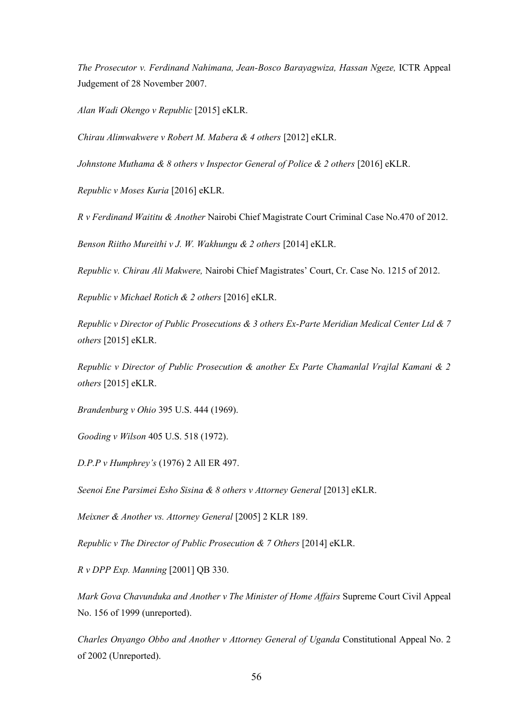*The Prosecutor v. Ferdinand Nahimana, Jean-Bosco Barayagwiza, Hassan Ngeze,* ICTR Appeal Judgement of 28 November 2007.

*Alan Wadi Okengo v Republic* [2015] eKLR.

*Chirau Alimwakwere v Robert M. Mabera & 4 others* [2012] eKLR.

*Johnstone Muthama & 8 others v Inspector General of Police & 2 others* [2016] eKLR.

*Republic v Moses Kuria* [2016] eKLR.

*R v Ferdinand Waititu & Another* Nairobi Chief Magistrate Court Criminal Case No.470 of 2012.

*Benson Riitho Mureithi v J. W. Wakhungu & 2 others* [2014] eKLR.

*Republic v. Chirau Ali Makwere,* Nairobi Chief Magistrates' Court, Cr. Case No. 1215 of 2012.

*Republic v Michael Rotich & 2 others* [2016] eKLR.

*Republic v Director of Public Prosecutions & 3 others Ex-Parte Meridian Medical Center Ltd & 7 others* [2015] eKLR.

*Republic v Director of Public Prosecution & another Ex Parte Chamanlal Vrajlal Kamani & 2 others* [2015] eKLR.

*Brandenburg v Ohio* 395 U.S. 444 (1969).

*Gooding v Wilson* 405 U.S. 518 (1972).

*D.P.P v Humphrey's* (1976) 2 All ER 497.

*Seenoi Ene Parsimei Esho Sisina & 8 others v Attorney General* [2013] eKLR.

*Meixner & Another vs. Attorney General* [2005] 2 KLR 189.

*Republic v The Director of Public Prosecution & 7 Others* [2014] eKLR.

*R v DPP Exp. Manning* [2001] QB 330.

*Mark Gova Chavunduka and Another v The Minister of Home Affairs* Supreme Court Civil Appeal No. 156 of 1999 (unreported).

*Charles Onyango Obbo and Another v Attorney General of Uganda* Constitutional Appeal No. 2 of 2002 (Unreported).